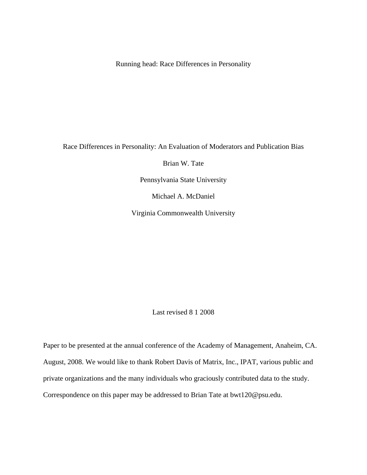Running head: Race Differences in Personality

Race Differences in Personality: An Evaluation of Moderators and Publication Bias

Brian W. Tate

Pennsylvania State University

Michael A. McDaniel

Virginia Commonwealth University

Last revised 8 1 2008

Paper to be presented at the annual conference of the Academy of Management, Anaheim, CA. August, 2008. We would like to thank Robert Davis of Matrix, Inc., IPAT, various public and private organizations and the many individuals who graciously contributed data to the study. Correspondence on this paper may be addressed to Brian Tate at bwt120@psu.edu.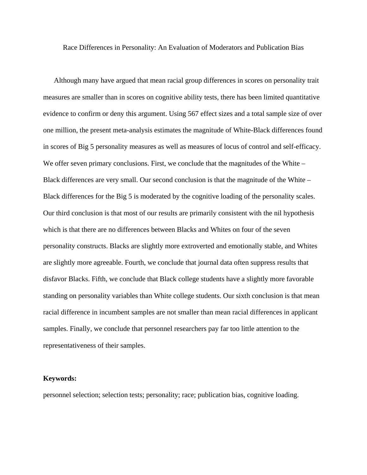Race Differences in Personality: An Evaluation of Moderators and Publication Bias

Although many have argued that mean racial group differences in scores on personality trait measures are smaller than in scores on cognitive ability tests, there has been limited quantitative evidence to confirm or deny this argument. Using 567 effect sizes and a total sample size of over one million, the present meta-analysis estimates the magnitude of White-Black differences found in scores of Big 5 personality measures as well as measures of locus of control and self-efficacy. We offer seven primary conclusions. First, we conclude that the magnitudes of the White – Black differences are very small. Our second conclusion is that the magnitude of the White – Black differences for the Big 5 is moderated by the cognitive loading of the personality scales. Our third conclusion is that most of our results are primarily consistent with the nil hypothesis which is that there are no differences between Blacks and Whites on four of the seven personality constructs. Blacks are slightly more extroverted and emotionally stable, and Whites are slightly more agreeable. Fourth, we conclude that journal data often suppress results that disfavor Blacks. Fifth, we conclude that Black college students have a slightly more favorable standing on personality variables than White college students. Our sixth conclusion is that mean racial difference in incumbent samples are not smaller than mean racial differences in applicant samples. Finally, we conclude that personnel researchers pay far too little attention to the representativeness of their samples.

#### **Keywords:**

personnel selection; selection tests; personality; race; publication bias, cognitive loading.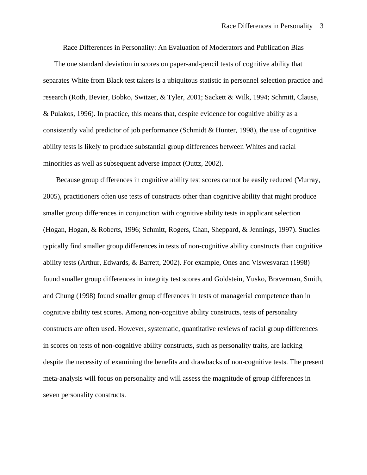Race Differences in Personality: An Evaluation of Moderators and Publication Bias

 The one standard deviation in scores on paper-and-pencil tests of cognitive ability that separates White from Black test takers is a ubiquitous statistic in personnel selection practice and research (Roth, Bevier, Bobko, Switzer, & Tyler, 2001; Sackett & Wilk, 1994; Schmitt, Clause, & Pulakos, 1996). In practice, this means that, despite evidence for cognitive ability as a consistently valid predictor of job performance (Schmidt & Hunter, 1998), the use of cognitive ability tests is likely to produce substantial group differences between Whites and racial minorities as well as subsequent adverse impact (Outtz, 2002).

Because group differences in cognitive ability test scores cannot be easily reduced (Murray, 2005), practitioners often use tests of constructs other than cognitive ability that might produce smaller group differences in conjunction with cognitive ability tests in applicant selection (Hogan, Hogan, & Roberts, 1996; Schmitt, Rogers, Chan, Sheppard, & Jennings, 1997). Studies typically find smaller group differences in tests of non-cognitive ability constructs than cognitive ability tests (Arthur, Edwards, & Barrett, 2002). For example, Ones and Viswesvaran (1998) found smaller group differences in integrity test scores and Goldstein, Yusko, Braverman, Smith, and Chung (1998) found smaller group differences in tests of managerial competence than in cognitive ability test scores. Among non-cognitive ability constructs, tests of personality constructs are often used. However, systematic, quantitative reviews of racial group differences in scores on tests of non-cognitive ability constructs, such as personality traits, are lacking despite the necessity of examining the benefits and drawbacks of non-cognitive tests. The present meta-analysis will focus on personality and will assess the magnitude of group differences in seven personality constructs.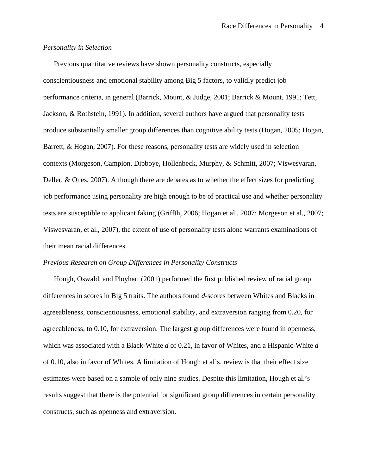# *Personality in Selection*

 Previous quantitative reviews have shown personality constructs, especially conscientiousness and emotional stability among Big 5 factors, to validly predict job performance criteria, in general (Barrick, Mount, & Judge, 2001; Barrick & Mount, 1991; Tett, Jackson, & Rothstein, 1991). In addition, several authors have argued that personality tests produce substantially smaller group differences than cognitive ability tests (Hogan, 2005; Hogan, Barrett, & Hogan, 2007). For these reasons, personality tests are widely used in selection contexts (Morgeson, Campion, Dipboye, Hollenbeck, Murphy, & Schmitt, 2007; Viswesvaran, Deller, & Ones, 2007). Although there are debates as to whether the effect sizes for predicting job performance using personality are high enough to be of practical use and whether personality tests are susceptible to applicant faking (Griffth, 2006; Hogan et al., 2007; Morgeson et al., 2007; Viswesvaran, et al., 2007), the extent of use of personality tests alone warrants examinations of their mean racial differences.

#### *Previous Research on Group Differences in Personality Constructs*

 Hough, Oswald, and Ployhart (2001) performed the first published review of racial group differences in scores in Big 5 traits. The authors found *d*-scores between Whites and Blacks in agreeableness, conscientiousness, emotional stability, and extraversion ranging from 0.20, for agreeableness, to 0.10, for extraversion. The largest group differences were found in openness, which was associated with a Black-White *d* of 0.21, in favor of Whites, and a Hispanic-White *d* of 0.10, also in favor of Whites. A limitation of Hough et al's. review is that their effect size estimates were based on a sample of only nine studies. Despite this limitation, Hough et al.'s results suggest that there is the potential for significant group differences in certain personality constructs, such as openness and extraversion.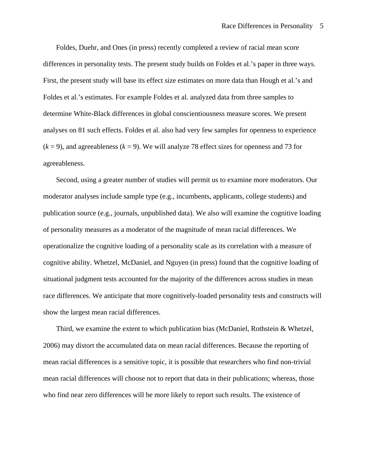Foldes, Duehr, and Ones (in press) recently completed a review of racial mean score differences in personality tests. The present study builds on Foldes et al.'s paper in three ways. First, the present study will base its effect size estimates on more data than Hough et al.'s and Foldes et al.'s estimates. For example Foldes et al. analyzed data from three samples to determine White-Black differences in global conscientiousness measure scores. We present analyses on 81 such effects. Foldes et al. also had very few samples for openness to experience  $(k = 9)$ , and agreeableness  $(k = 9)$ . We will analyze 78 effect sizes for openness and 73 for agreeableness.

Second, using a greater number of studies will permit us to examine more moderators. Our moderator analyses include sample type (e.g., incumbents, applicants, college students) and publication source (e.g., journals, unpublished data). We also will examine the cognitive loading of personality measures as a moderator of the magnitude of mean racial differences. We operationalize the cognitive loading of a personality scale as its correlation with a measure of cognitive ability. Whetzel, McDaniel, and Nguyen (in press) found that the cognitive loading of situational judgment tests accounted for the majority of the differences across studies in mean race differences. We anticipate that more cognitively-loaded personality tests and constructs will show the largest mean racial differences.

Third, we examine the extent to which publication bias (McDaniel, Rothstein & Whetzel, 2006) may distort the accumulated data on mean racial differences. Because the reporting of mean racial differences is a sensitive topic, it is possible that researchers who find non-trivial mean racial differences will choose not to report that data in their publications; whereas, those who find near zero differences will be more likely to report such results. The existence of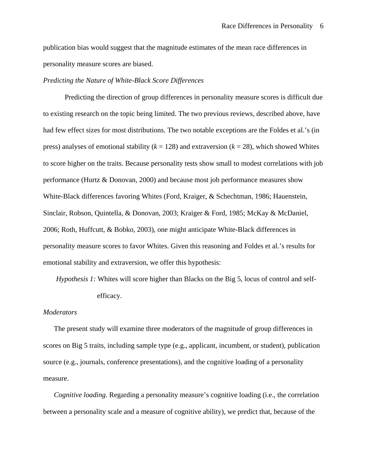publication bias would suggest that the magnitude estimates of the mean race differences in personality measure scores are biased.

## *Predicting the Nature of White-Black Score Differences*

Predicting the direction of group differences in personality measure scores is difficult due to existing research on the topic being limited. The two previous reviews, described above, have had few effect sizes for most distributions. The two notable exceptions are the Foldes et al.'s (in press) analyses of emotional stability  $(k = 128)$  and extraversion  $(k = 28)$ , which showed Whites to score higher on the traits. Because personality tests show small to modest correlations with job performance (Hurtz & Donovan, 2000) and because most job performance measures show White-Black differences favoring Whites (Ford, Kraiger, & Schechtman, 1986; Hauenstein, Sinclair, Robson, Quintella, & Donovan, 2003; Kraiger & Ford, 1985; McKay & McDaniel, 2006; Roth, Huffcutt, & Bobko, 2003), one might anticipate White-Black differences in personality measure scores to favor Whites. Given this reasoning and Foldes et al.'s results for emotional stability and extraversion, we offer this hypothesis:

*Hypothesis 1:* Whites will score higher than Blacks on the Big 5, locus of control and selfefficacy.

## *Moderators*

 The present study will examine three moderators of the magnitude of group differences in scores on Big 5 traits, including sample type (e.g., applicant, incumbent, or student), publication source (e.g., journals, conference presentations), and the cognitive loading of a personality measure.

*Cognitive loading*. Regarding a personality measure's cognitive loading (i.e., the correlation between a personality scale and a measure of cognitive ability), we predict that, because of the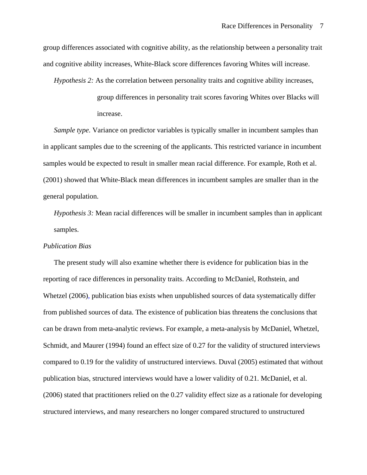group differences associated with cognitive ability, as the relationship between a personality trait and cognitive ability increases, White-Black score differences favoring Whites will increase.

*Hypothesis 2:* As the correlation between personality traits and cognitive ability increases,

group differences in personality trait scores favoring Whites over Blacks will increase.

*Sample type.* Variance on predictor variables is typically smaller in incumbent samples than in applicant samples due to the screening of the applicants. This restricted variance in incumbent samples would be expected to result in smaller mean racial difference. For example, Roth et al. (2001) showed that White-Black mean differences in incumbent samples are smaller than in the general population.

*Hypothesis 3:* Mean racial differences will be smaller in incumbent samples than in applicant samples.

# *Publication Bias*

 The present study will also examine whether there is evidence for publication bias in the reporting of race differences in personality traits. According to McDaniel, Rothstein, and Whetzel (2006), publication bias exists when unpublished sources of data systematically differ from published sources of data. The existence of publication bias threatens the conclusions that can be drawn from meta-analytic reviews. For example, a meta-analysis by McDaniel, Whetzel, Schmidt, and Maurer (1994) found an effect size of 0.27 for the validity of structured interviews compared to 0.19 for the validity of unstructured interviews. Duval (2005) estimated that without publication bias, structured interviews would have a lower validity of 0.21. McDaniel, et al. (2006) stated that practitioners relied on the 0.27 validity effect size as a rationale for developing structured interviews, and many researchers no longer compared structured to unstructured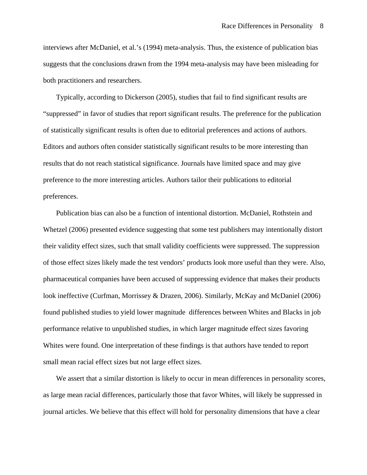interviews after McDaniel, et al.'s (1994) meta-analysis. Thus, the existence of publication bias suggests that the conclusions drawn from the 1994 meta-analysis may have been misleading for both practitioners and researchers.

Typically, according to Dickerson (2005), studies that fail to find significant results are "suppressed" in favor of studies that report significant results. The preference for the publication of statistically significant results is often due to editorial preferences and actions of authors. Editors and authors often consider statistically significant results to be more interesting than results that do not reach statistical significance. Journals have limited space and may give preference to the more interesting articles. Authors tailor their publications to editorial preferences.

Publication bias can also be a function of intentional distortion. McDaniel, Rothstein and Whetzel (2006) presented evidence suggesting that some test publishers may intentionally distort their validity effect sizes, such that small validity coefficients were suppressed. The suppression of those effect sizes likely made the test vendors' products look more useful than they were. Also, pharmaceutical companies have been accused of suppressing evidence that makes their products look ineffective (Curfman, Morrissey & Drazen, 2006). Similarly, McKay and McDaniel (2006) found published studies to yield lower magnitude differences between Whites and Blacks in job performance relative to unpublished studies, in which larger magnitude effect sizes favoring Whites were found. One interpretation of these findings is that authors have tended to report small mean racial effect sizes but not large effect sizes.

We assert that a similar distortion is likely to occur in mean differences in personality scores, as large mean racial differences, particularly those that favor Whites, will likely be suppressed in journal articles. We believe that this effect will hold for personality dimensions that have a clear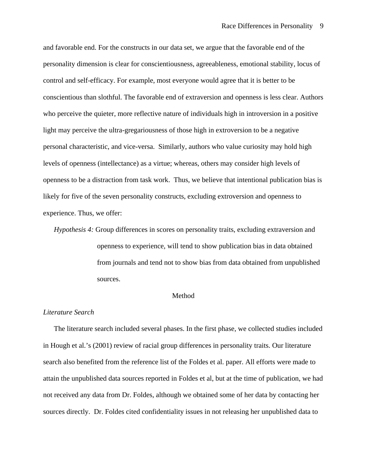and favorable end. For the constructs in our data set, we argue that the favorable end of the personality dimension is clear for conscientiousness, agreeableness, emotional stability, locus of control and self-efficacy. For example, most everyone would agree that it is better to be conscientious than slothful. The favorable end of extraversion and openness is less clear. Authors who perceive the quieter, more reflective nature of individuals high in introversion in a positive light may perceive the ultra-gregariousness of those high in extroversion to be a negative personal characteristic, and vice-versa. Similarly, authors who value curiosity may hold high levels of openness (intellectance) as a virtue; whereas, others may consider high levels of openness to be a distraction from task work. Thus, we believe that intentional publication bias is likely for five of the seven personality constructs, excluding extroversion and openness to experience. Thus, we offer:

*Hypothesis 4:* Group differences in scores on personality traits, excluding extraversion and openness to experience, will tend to show publication bias in data obtained from journals and tend not to show bias from data obtained from unpublished sources.

#### Method

## *Literature Search*

 The literature search included several phases. In the first phase, we collected studies included in Hough et al.'s (2001) review of racial group differences in personality traits. Our literature search also benefited from the reference list of the Foldes et al. paper. All efforts were made to attain the unpublished data sources reported in Foldes et al, but at the time of publication, we had not received any data from Dr. Foldes, although we obtained some of her data by contacting her sources directly. Dr. Foldes cited confidentiality issues in not releasing her unpublished data to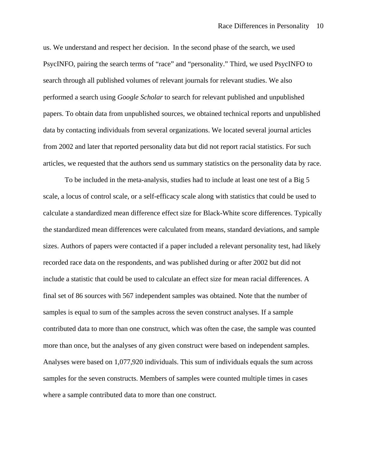us. We understand and respect her decision. In the second phase of the search, we used PsycINFO, pairing the search terms of "race" and "personality." Third, we used PsycINFO to search through all published volumes of relevant journals for relevant studies. We also performed a search using *Google Scholar* to search for relevant published and unpublished papers. To obtain data from unpublished sources, we obtained technical reports and unpublished data by contacting individuals from several organizations. We located several journal articles from 2002 and later that reported personality data but did not report racial statistics. For such articles, we requested that the authors send us summary statistics on the personality data by race.

To be included in the meta-analysis, studies had to include at least one test of a Big 5 scale, a locus of control scale, or a self-efficacy scale along with statistics that could be used to calculate a standardized mean difference effect size for Black-White score differences. Typically the standardized mean differences were calculated from means, standard deviations, and sample sizes. Authors of papers were contacted if a paper included a relevant personality test, had likely recorded race data on the respondents, and was published during or after 2002 but did not include a statistic that could be used to calculate an effect size for mean racial differences. A final set of 86 sources with 567 independent samples was obtained. Note that the number of samples is equal to sum of the samples across the seven construct analyses. If a sample contributed data to more than one construct, which was often the case, the sample was counted more than once, but the analyses of any given construct were based on independent samples. Analyses were based on 1,077,920 individuals. This sum of individuals equals the sum across samples for the seven constructs. Members of samples were counted multiple times in cases where a sample contributed data to more than one construct.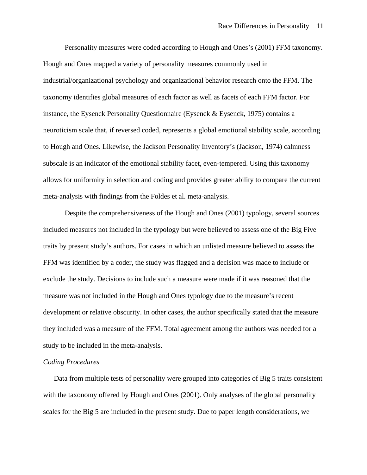Personality measures were coded according to Hough and Ones's (2001) FFM taxonomy. Hough and Ones mapped a variety of personality measures commonly used in industrial/organizational psychology and organizational behavior research onto the FFM. The taxonomy identifies global measures of each factor as well as facets of each FFM factor. For instance, the Eysenck Personality Questionnaire (Eysenck & Eysenck, 1975) contains a neuroticism scale that, if reversed coded, represents a global emotional stability scale, according to Hough and Ones. Likewise, the Jackson Personality Inventory's (Jackson, 1974) calmness subscale is an indicator of the emotional stability facet, even-tempered. Using this taxonomy allows for uniformity in selection and coding and provides greater ability to compare the current meta-analysis with findings from the Foldes et al. meta-analysis.

 Despite the comprehensiveness of the Hough and Ones (2001) typology, several sources included measures not included in the typology but were believed to assess one of the Big Five traits by present study's authors. For cases in which an unlisted measure believed to assess the FFM was identified by a coder, the study was flagged and a decision was made to include or exclude the study. Decisions to include such a measure were made if it was reasoned that the measure was not included in the Hough and Ones typology due to the measure's recent development or relative obscurity. In other cases, the author specifically stated that the measure they included was a measure of the FFM. Total agreement among the authors was needed for a study to be included in the meta-analysis.

# *Coding Procedures*

 Data from multiple tests of personality were grouped into categories of Big 5 traits consistent with the taxonomy offered by Hough and Ones (2001). Only analyses of the global personality scales for the Big 5 are included in the present study. Due to paper length considerations, we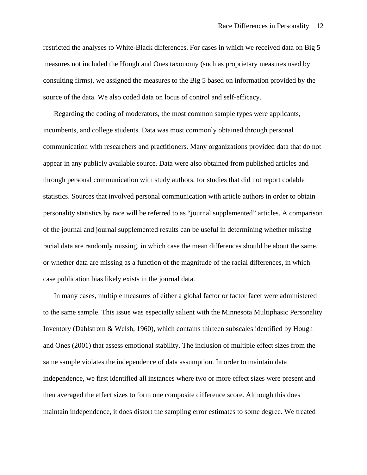restricted the analyses to White-Black differences. For cases in which we received data on Big 5 measures not included the Hough and Ones taxonomy (such as proprietary measures used by consulting firms), we assigned the measures to the Big 5 based on information provided by the source of the data. We also coded data on locus of control and self-efficacy.

Regarding the coding of moderators, the most common sample types were applicants, incumbents, and college students. Data was most commonly obtained through personal communication with researchers and practitioners. Many organizations provided data that do not appear in any publicly available source. Data were also obtained from published articles and through personal communication with study authors, for studies that did not report codable statistics. Sources that involved personal communication with article authors in order to obtain personality statistics by race will be referred to as "journal supplemented" articles. A comparison of the journal and journal supplemented results can be useful in determining whether missing racial data are randomly missing, in which case the mean differences should be about the same, or whether data are missing as a function of the magnitude of the racial differences, in which case publication bias likely exists in the journal data.

 In many cases, multiple measures of either a global factor or factor facet were administered to the same sample. This issue was especially salient with the Minnesota Multiphasic Personality Inventory (Dahlstrom & Welsh, 1960), which contains thirteen subscales identified by Hough and Ones (2001) that assess emotional stability. The inclusion of multiple effect sizes from the same sample violates the independence of data assumption. In order to maintain data independence, we first identified all instances where two or more effect sizes were present and then averaged the effect sizes to form one composite difference score. Although this does maintain independence, it does distort the sampling error estimates to some degree. We treated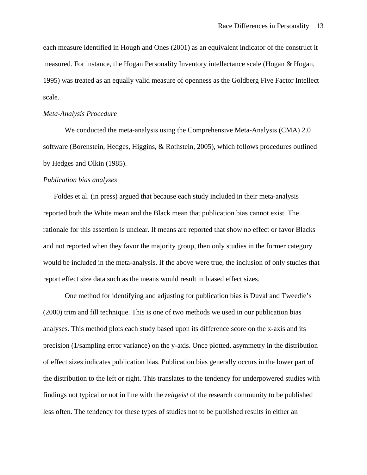each measure identified in Hough and Ones (2001) as an equivalent indicator of the construct it measured. For instance, the Hogan Personality Inventory intellectance scale (Hogan & Hogan, 1995) was treated as an equally valid measure of openness as the Goldberg Five Factor Intellect scale.

# *Meta-Analysis Procedure*

We conducted the meta-analysis using the Comprehensive Meta-Analysis (CMA) 2.0 software (Borenstein, Hedges, Higgins, & Rothstein, 2005), which follows procedures outlined by Hedges and Olkin (1985).

# *Publication bias analyses*

Foldes et al. (in press) argued that because each study included in their meta-analysis reported both the White mean and the Black mean that publication bias cannot exist. The rationale for this assertion is unclear. If means are reported that show no effect or favor Blacks and not reported when they favor the majority group, then only studies in the former category would be included in the meta-analysis. If the above were true, the inclusion of only studies that report effect size data such as the means would result in biased effect sizes.

One method for identifying and adjusting for publication bias is Duval and Tweedie's (2000) trim and fill technique. This is one of two methods we used in our publication bias analyses. This method plots each study based upon its difference score on the x-axis and its precision (1/sampling error variance) on the y-axis. Once plotted, asymmetry in the distribution of effect sizes indicates publication bias. Publication bias generally occurs in the lower part of the distribution to the left or right. This translates to the tendency for underpowered studies with findings not typical or not in line with the *zeitgeist* of the research community to be published less often. The tendency for these types of studies not to be published results in either an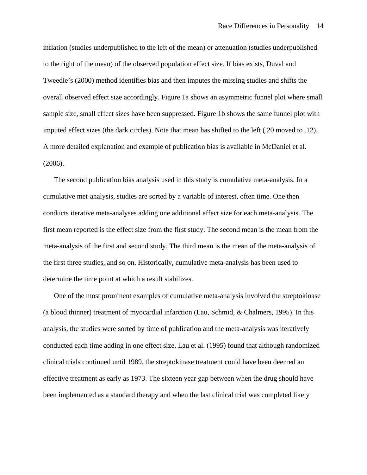inflation (studies underpublished to the left of the mean) or attenuation (studies underpublished to the right of the mean) of the observed population effect size. If bias exists, Duval and Tweedie's (2000) method identifies bias and then imputes the missing studies and shifts the overall observed effect size accordingly. Figure 1a shows an asymmetric funnel plot where small sample size, small effect sizes have been suppressed. Figure 1b shows the same funnel plot with imputed effect sizes (the dark circles). Note that mean has shifted to the left (.20 moved to .12). A more detailed explanation and example of publication bias is available in McDaniel et al. (2006).

The second publication bias analysis used in this study is cumulative meta-analysis. In a cumulative met-analysis, studies are sorted by a variable of interest, often time. One then conducts iterative meta-analyses adding one additional effect size for each meta-analysis. The first mean reported is the effect size from the first study. The second mean is the mean from the meta-analysis of the first and second study. The third mean is the mean of the meta-analysis of the first three studies, and so on. Historically, cumulative meta-analysis has been used to determine the time point at which a result stabilizes.

One of the most prominent examples of cumulative meta-analysis involved the streptokinase (a blood thinner) treatment of myocardial infarction (Lau, Schmid, & Chalmers, 1995). In this analysis, the studies were sorted by time of publication and the meta-analysis was iteratively conducted each time adding in one effect size. Lau et al. (1995) found that although randomized clinical trials continued until 1989, the streptokinase treatment could have been deemed an effective treatment as early as 1973. The sixteen year gap between when the drug should have been implemented as a standard therapy and when the last clinical trial was completed likely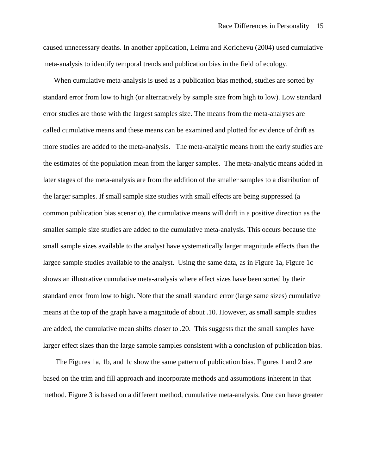caused unnecessary deaths. In another application, Leimu and Korichevu (2004) used cumulative meta-analysis to identify temporal trends and publication bias in the field of ecology.

When cumulative meta-analysis is used as a publication bias method, studies are sorted by standard error from low to high (or alternatively by sample size from high to low). Low standard error studies are those with the largest samples size. The means from the meta-analyses are called cumulative means and these means can be examined and plotted for evidence of drift as more studies are added to the meta-analysis. The meta-analytic means from the early studies are the estimates of the population mean from the larger samples. The meta-analytic means added in later stages of the meta-analysis are from the addition of the smaller samples to a distribution of the larger samples. If small sample size studies with small effects are being suppressed (a common publication bias scenario), the cumulative means will drift in a positive direction as the smaller sample size studies are added to the cumulative meta-analysis. This occurs because the small sample sizes available to the analyst have systematically larger magnitude effects than the largee sample studies available to the analyst. Using the same data, as in Figure 1a, Figure 1c shows an illustrative cumulative meta-analysis where effect sizes have been sorted by their standard error from low to high. Note that the small standard error (large same sizes) cumulative means at the top of the graph have a magnitude of about .10. However, as small sample studies are added, the cumulative mean shifts closer to .20. This suggests that the small samples have larger effect sizes than the large sample samples consistent with a conclusion of publication bias.

 The Figures 1a, 1b, and 1c show the same pattern of publication bias. Figures 1 and 2 are based on the trim and fill approach and incorporate methods and assumptions inherent in that method. Figure 3 is based on a different method, cumulative meta-analysis. One can have greater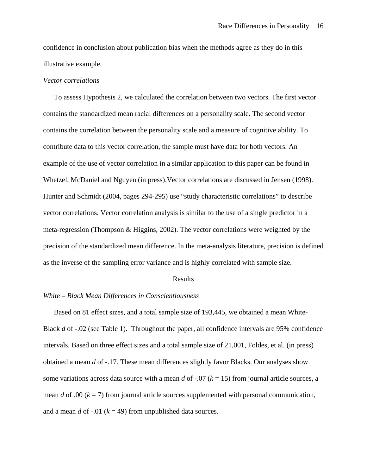confidence in conclusion about publication bias when the methods agree as they do in this illustrative example.

#### *Vector correlations*

To assess Hypothesis 2, we calculated the correlation between two vectors. The first vector contains the standardized mean racial differences on a personality scale. The second vector contains the correlation between the personality scale and a measure of cognitive ability. To contribute data to this vector correlation, the sample must have data for both vectors. An example of the use of vector correlation in a similar application to this paper can be found in Whetzel, McDaniel and Nguyen (in press).Vector correlations are discussed in Jensen (1998). Hunter and Schmidt (2004, pages 294-295) use "study characteristic correlations" to describe vector correlations. Vector correlation analysis is similar to the use of a single predictor in a meta-regression (Thompson & Higgins, 2002). The vector correlations were weighted by the precision of the standardized mean difference. In the meta-analysis literature, precision is defined as the inverse of the sampling error variance and is highly correlated with sample size.

#### Results

#### *White – Black Mean Differences in Conscientiousness*

 Based on 81 effect sizes, and a total sample size of 193,445, we obtained a mean White-Black *d* of -.02 (see Table 1). Throughout the paper, all confidence intervals are 95% confidence intervals. Based on three effect sizes and a total sample size of 21,001, Foldes, et al. (in press) obtained a mean *d* of -.17. These mean differences slightly favor Blacks. Our analyses show some variations across data source with a mean *d* of  $-.07$  ( $k = 15$ ) from journal article sources, a mean *d* of .00 ( $k = 7$ ) from journal article sources supplemented with personal communication, and a mean *d* of -.01 ( $k = 49$ ) from unpublished data sources.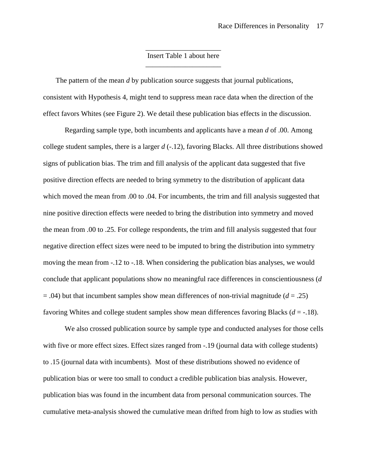# \_\_\_\_\_\_\_\_\_\_\_\_\_\_\_\_\_\_\_\_\_ Insert Table 1 about here \_\_\_\_\_\_\_\_\_\_\_\_\_\_\_\_\_\_\_\_\_

 The pattern of the mean *d* by publication source suggests that journal publications, consistent with Hypothesis 4, might tend to suppress mean race data when the direction of the effect favors Whites (see Figure 2). We detail these publication bias effects in the discussion.

Regarding sample type, both incumbents and applicants have a mean *d* of .00. Among college student samples, there is a larger *d* (-.12), favoring Blacks. All three distributions showed signs of publication bias. The trim and fill analysis of the applicant data suggested that five positive direction effects are needed to bring symmetry to the distribution of applicant data which moved the mean from .00 to .04. For incumbents, the trim and fill analysis suggested that nine positive direction effects were needed to bring the distribution into symmetry and moved the mean from .00 to .25. For college respondents, the trim and fill analysis suggested that four negative direction effect sizes were need to be imputed to bring the distribution into symmetry moving the mean from -.12 to -.18. When considering the publication bias analyses, we would conclude that applicant populations show no meaningful race differences in conscientiousness (*d*  $= .04$ ) but that incumbent samples show mean differences of non-trivial magnitude ( $d = .25$ ) favoring Whites and college student samples show mean differences favoring Blacks (*d* = -.18).

We also crossed publication source by sample type and conducted analyses for those cells with five or more effect sizes. Effect sizes ranged from -.19 (journal data with college students) to .15 (journal data with incumbents). Most of these distributions showed no evidence of publication bias or were too small to conduct a credible publication bias analysis. However, publication bias was found in the incumbent data from personal communication sources. The cumulative meta-analysis showed the cumulative mean drifted from high to low as studies with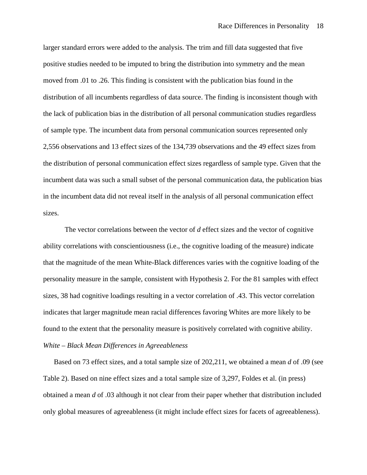larger standard errors were added to the analysis. The trim and fill data suggested that five positive studies needed to be imputed to bring the distribution into symmetry and the mean moved from .01 to .26. This finding is consistent with the publication bias found in the distribution of all incumbents regardless of data source. The finding is inconsistent though with the lack of publication bias in the distribution of all personal communication studies regardless of sample type. The incumbent data from personal communication sources represented only 2,556 observations and 13 effect sizes of the 134,739 observations and the 49 effect sizes from the distribution of personal communication effect sizes regardless of sample type. Given that the incumbent data was such a small subset of the personal communication data, the publication bias in the incumbent data did not reveal itself in the analysis of all personal communication effect sizes.

The vector correlations between the vector of *d* effect sizes and the vector of cognitive ability correlations with conscientiousness (i.e., the cognitive loading of the measure) indicate that the magnitude of the mean White-Black differences varies with the cognitive loading of the personality measure in the sample, consistent with Hypothesis 2. For the 81 samples with effect sizes, 38 had cognitive loadings resulting in a vector correlation of .43. This vector correlation indicates that larger magnitude mean racial differences favoring Whites are more likely to be found to the extent that the personality measure is positively correlated with cognitive ability. *White – Black Mean Differences in Agreeableness* 

 Based on 73 effect sizes, and a total sample size of 202,211, we obtained a mean *d* of .09 (see Table 2). Based on nine effect sizes and a total sample size of 3,297, Foldes et al. (in press) obtained a mean *d* of .03 although it not clear from their paper whether that distribution included only global measures of agreeableness (it might include effect sizes for facets of agreeableness).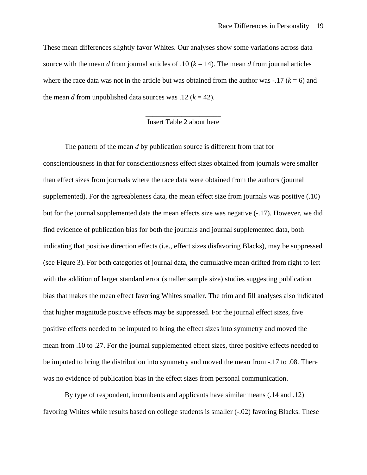These mean differences slightly favor Whites. Our analyses show some variations across data source with the mean *d* from journal articles of .10 ( $k = 14$ ). The mean *d* from journal articles where the race data was not in the article but was obtained from the author was  $-.17$  ( $k = 6$ ) and the mean *d* from unpublished data sources was .12 ( $k = 42$ ).

# \_\_\_\_\_\_\_\_\_\_\_\_\_\_\_\_\_\_\_\_\_ Insert Table 2 about here \_\_\_\_\_\_\_\_\_\_\_\_\_\_\_\_\_\_\_\_\_

The pattern of the mean *d* by publication source is different from that for conscientiousness in that for conscientiousness effect sizes obtained from journals were smaller than effect sizes from journals where the race data were obtained from the authors (journal supplemented). For the agreeableness data, the mean effect size from journals was positive (.10) but for the journal supplemented data the mean effects size was negative (-.17). However, we did find evidence of publication bias for both the journals and journal supplemented data, both indicating that positive direction effects (i.e., effect sizes disfavoring Blacks), may be suppressed (see Figure 3). For both categories of journal data, the cumulative mean drifted from right to left with the addition of larger standard error (smaller sample size) studies suggesting publication bias that makes the mean effect favoring Whites smaller. The trim and fill analyses also indicated that higher magnitude positive effects may be suppressed. For the journal effect sizes, five positive effects needed to be imputed to bring the effect sizes into symmetry and moved the mean from .10 to .27. For the journal supplemented effect sizes, three positive effects needed to be imputed to bring the distribution into symmetry and moved the mean from -.17 to .08. There was no evidence of publication bias in the effect sizes from personal communication.

By type of respondent, incumbents and applicants have similar means (.14 and .12) favoring Whites while results based on college students is smaller (-.02) favoring Blacks. These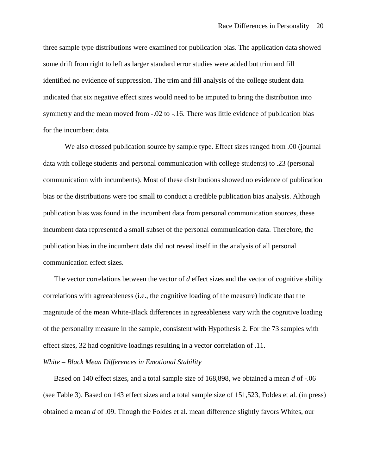three sample type distributions were examined for publication bias. The application data showed some drift from right to left as larger standard error studies were added but trim and fill identified no evidence of suppression. The trim and fill analysis of the college student data indicated that six negative effect sizes would need to be imputed to bring the distribution into symmetry and the mean moved from -.02 to -.16. There was little evidence of publication bias for the incumbent data.

We also crossed publication source by sample type. Effect sizes ranged from .00 (journal data with college students and personal communication with college students) to .23 (personal communication with incumbents). Most of these distributions showed no evidence of publication bias or the distributions were too small to conduct a credible publication bias analysis. Although publication bias was found in the incumbent data from personal communication sources, these incumbent data represented a small subset of the personal communication data. Therefore, the publication bias in the incumbent data did not reveal itself in the analysis of all personal communication effect sizes.

The vector correlations between the vector of *d* effect sizes and the vector of cognitive ability correlations with agreeableness (i.e., the cognitive loading of the measure) indicate that the magnitude of the mean White-Black differences in agreeableness vary with the cognitive loading of the personality measure in the sample, consistent with Hypothesis 2. For the 73 samples with effect sizes, 32 had cognitive loadings resulting in a vector correlation of .11.

*White – Black Mean Differences in Emotional Stability* 

 Based on 140 effect sizes, and a total sample size of 168,898, we obtained a mean *d* of -.06 (see Table 3). Based on 143 effect sizes and a total sample size of 151,523, Foldes et al. (in press) obtained a mean *d* of .09. Though the Foldes et al. mean difference slightly favors Whites, our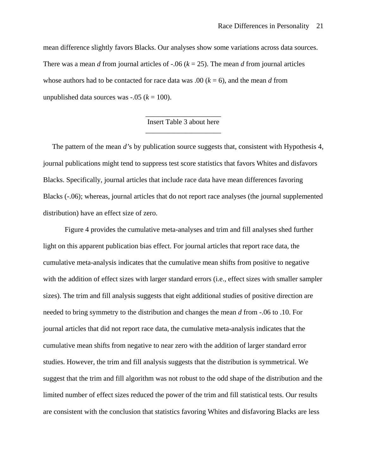mean difference slightly favors Blacks. Our analyses show some variations across data sources. There was a mean *d* from journal articles of -.06 ( $k = 25$ ). The mean *d* from journal articles whose authors had to be contacted for race data was .00  $(k = 6)$ , and the mean *d* from unpublished data sources was  $-.05$  ( $k = 100$ ).

# \_\_\_\_\_\_\_\_\_\_\_\_\_\_\_\_\_\_\_\_\_ Insert Table 3 about here \_\_\_\_\_\_\_\_\_\_\_\_\_\_\_\_\_\_\_\_\_

 The pattern of the mean *d'*s by publication source suggests that, consistent with Hypothesis 4, journal publications might tend to suppress test score statistics that favors Whites and disfavors Blacks. Specifically, journal articles that include race data have mean differences favoring Blacks (-.06); whereas, journal articles that do not report race analyses (the journal supplemented distribution) have an effect size of zero.

Figure 4 provides the cumulative meta-analyses and trim and fill analyses shed further light on this apparent publication bias effect. For journal articles that report race data, the cumulative meta-analysis indicates that the cumulative mean shifts from positive to negative with the addition of effect sizes with larger standard errors (i.e., effect sizes with smaller sampler sizes). The trim and fill analysis suggests that eight additional studies of positive direction are needed to bring symmetry to the distribution and changes the mean *d* from -.06 to .10. For journal articles that did not report race data, the cumulative meta-analysis indicates that the cumulative mean shifts from negative to near zero with the addition of larger standard error studies. However, the trim and fill analysis suggests that the distribution is symmetrical. We suggest that the trim and fill algorithm was not robust to the odd shape of the distribution and the limited number of effect sizes reduced the power of the trim and fill statistical tests. Our results are consistent with the conclusion that statistics favoring Whites and disfavoring Blacks are less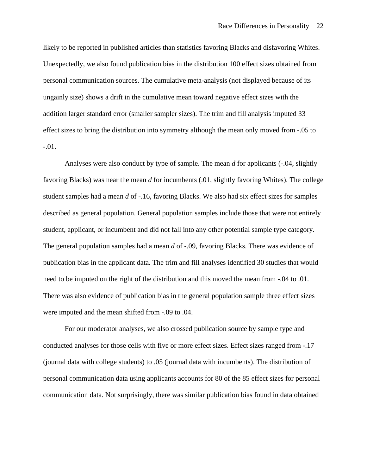likely to be reported in published articles than statistics favoring Blacks and disfavoring Whites. Unexpectedly, we also found publication bias in the distribution 100 effect sizes obtained from personal communication sources. The cumulative meta-analysis (not displayed because of its ungainly size) shows a drift in the cumulative mean toward negative effect sizes with the addition larger standard error (smaller sampler sizes). The trim and fill analysis imputed 33 effect sizes to bring the distribution into symmetry although the mean only moved from -.05 to -.01.

Analyses were also conduct by type of sample. The mean *d* for applicants (-.04, slightly favoring Blacks) was near the mean *d* for incumbents (.01, slightly favoring Whites). The college student samples had a mean *d* of -.16, favoring Blacks. We also had six effect sizes for samples described as general population. General population samples include those that were not entirely student, applicant, or incumbent and did not fall into any other potential sample type category. The general population samples had a mean *d* of -.09, favoring Blacks. There was evidence of publication bias in the applicant data. The trim and fill analyses identified 30 studies that would need to be imputed on the right of the distribution and this moved the mean from -.04 to .01. There was also evidence of publication bias in the general population sample three effect sizes were imputed and the mean shifted from -.09 to .04.

For our moderator analyses, we also crossed publication source by sample type and conducted analyses for those cells with five or more effect sizes. Effect sizes ranged from -.17 (journal data with college students) to .05 (journal data with incumbents). The distribution of personal communication data using applicants accounts for 80 of the 85 effect sizes for personal communication data. Not surprisingly, there was similar publication bias found in data obtained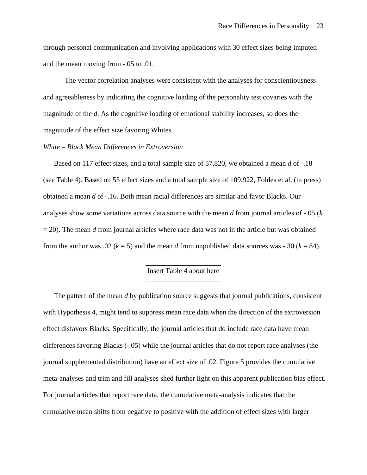through personal communication and involving applications with 30 effect sizes being imputed and the mean moving from -.05 to .01.

The vector correlation analyses were consistent with the analyses for conscientiousness and agreeableness by indicating the cognitive loading of the personality test covaries with the magnitude of the *d*. As the cognitive loading of emotional stability increases, so does the magnitude of the effect size favoring Whites.

# *White – Black Mean Differences in Extroversion*

 Based on 117 effect sizes, and a total sample size of 57,820, we obtained a mean *d* of -.18 (see Table 4). Based on 55 effect sizes and a total sample size of 109,922, Foldes et al. (in press) obtained a mean *d* of -.16. Both mean racial differences are similar and favor Blacks. Our analyses show some variations across data source with the mean *d* from journal articles of -.05 (*k*  $= 20$ ). The mean *d* from journal articles where race data was not in the article but was obtained from the author was .02 ( $k = 5$ ) and the mean *d* from unpublished data sources was -.30 ( $k = 84$ ).

# \_\_\_\_\_\_\_\_\_\_\_\_\_\_\_\_\_\_\_\_\_ Insert Table 4 about here \_\_\_\_\_\_\_\_\_\_\_\_\_\_\_\_\_\_\_\_\_

 The pattern of the mean *d* by publication source suggests that journal publications, consistent with Hypothesis 4, might tend to suppress mean race data when the direction of the extroversion effect disfavors Blacks. Specifically, the journal articles that do include race data have mean differences favoring Blacks (-.05) while the journal articles that do not report race analyses (the journal supplemented distribution) have an effect size of .02. Figure 5 provides the cumulative meta-analyses and trim and fill analyses shed further light on this apparent publication bias effect. For journal articles that report race data, the cumulative meta-analysis indicates that the cumulative mean shifts from negative to positive with the addition of effect sizes with larger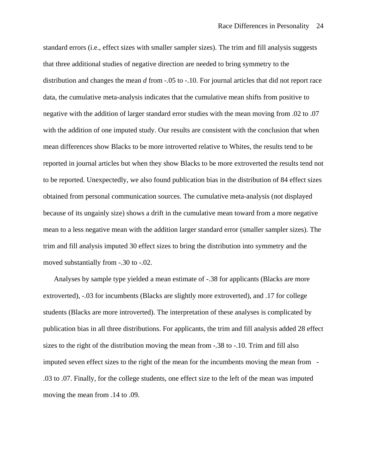standard errors (i.e., effect sizes with smaller sampler sizes). The trim and fill analysis suggests that three additional studies of negative direction are needed to bring symmetry to the distribution and changes the mean *d* from -.05 to -.10. For journal articles that did not report race data, the cumulative meta-analysis indicates that the cumulative mean shifts from positive to negative with the addition of larger standard error studies with the mean moving from .02 to .07 with the addition of one imputed study. Our results are consistent with the conclusion that when mean differences show Blacks to be more introverted relative to Whites, the results tend to be reported in journal articles but when they show Blacks to be more extroverted the results tend not to be reported. Unexpectedly, we also found publication bias in the distribution of 84 effect sizes obtained from personal communication sources. The cumulative meta-analysis (not displayed because of its ungainly size) shows a drift in the cumulative mean toward from a more negative mean to a less negative mean with the addition larger standard error (smaller sampler sizes). The trim and fill analysis imputed 30 effect sizes to bring the distribution into symmetry and the moved substantially from -.30 to -.02.

 Analyses by sample type yielded a mean estimate of -.38 for applicants (Blacks are more extroverted), -.03 for incumbents (Blacks are slightly more extroverted), and .17 for college students (Blacks are more introverted). The interpretation of these analyses is complicated by publication bias in all three distributions. For applicants, the trim and fill analysis added 28 effect sizes to the right of the distribution moving the mean from -.38 to -.10. Trim and fill also imputed seven effect sizes to the right of the mean for the incumbents moving the mean from - .03 to .07. Finally, for the college students, one effect size to the left of the mean was imputed moving the mean from .14 to .09.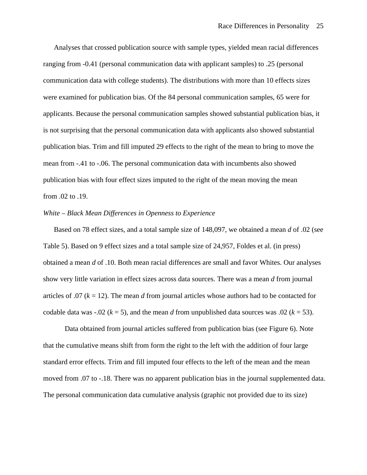Analyses that crossed publication source with sample types, yielded mean racial differences ranging from -0.41 (personal communication data with applicant samples) to .25 (personal communication data with college students). The distributions with more than 10 effects sizes were examined for publication bias. Of the 84 personal communication samples, 65 were for applicants. Because the personal communication samples showed substantial publication bias, it is not surprising that the personal communication data with applicants also showed substantial publication bias. Trim and fill imputed 29 effects to the right of the mean to bring to move the mean from -.41 to -.06. The personal communication data with incumbents also showed publication bias with four effect sizes imputed to the right of the mean moving the mean from .02 to .19.

# *White – Black Mean Differences in Openness to Experience*

 Based on 78 effect sizes, and a total sample size of 148,097, we obtained a mean *d* of .02 (see Table 5). Based on 9 effect sizes and a total sample size of 24,957, Foldes et al. (in press) obtained a mean *d* of .10. Both mean racial differences are small and favor Whites. Our analyses show very little variation in effect sizes across data sources. There was a mean *d* from journal articles of .07  $(k = 12)$ . The mean *d* from journal articles whose authors had to be contacted for codable data was -.02 ( $k = 5$ ), and the mean *d* from unpublished data sources was .02 ( $k = 53$ ).

Data obtained from journal articles suffered from publication bias (see Figure 6). Note that the cumulative means shift from form the right to the left with the addition of four large standard error effects. Trim and fill imputed four effects to the left of the mean and the mean moved from .07 to -.18. There was no apparent publication bias in the journal supplemented data. The personal communication data cumulative analysis (graphic not provided due to its size)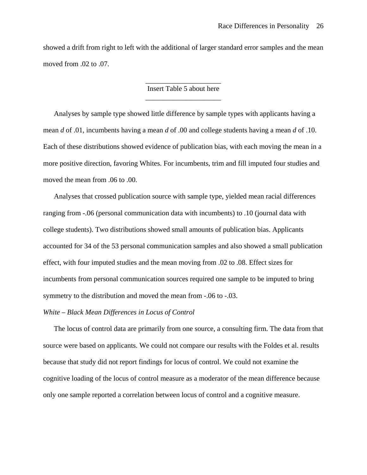showed a drift from right to left with the additional of larger standard error samples and the mean moved from .02 to .07.

# \_\_\_\_\_\_\_\_\_\_\_\_\_\_\_\_\_\_\_\_\_ Insert Table 5 about here \_\_\_\_\_\_\_\_\_\_\_\_\_\_\_\_\_\_\_\_\_

 Analyses by sample type showed little difference by sample types with applicants having a mean *d* of .01, incumbents having a mean *d* of .00 and college students having a mean *d* of .10. Each of these distributions showed evidence of publication bias, with each moving the mean in a more positive direction, favoring Whites. For incumbents, trim and fill imputed four studies and moved the mean from .06 to .00.

 Analyses that crossed publication source with sample type, yielded mean racial differences ranging from -.06 (personal communication data with incumbents) to .10 (journal data with college students). Two distributions showed small amounts of publication bias. Applicants accounted for 34 of the 53 personal communication samples and also showed a small publication effect, with four imputed studies and the mean moving from .02 to .08. Effect sizes for incumbents from personal communication sources required one sample to be imputed to bring symmetry to the distribution and moved the mean from -.06 to -.03.

# *White – Black Mean Differences in Locus of Control*

 The locus of control data are primarily from one source, a consulting firm. The data from that source were based on applicants. We could not compare our results with the Foldes et al. results because that study did not report findings for locus of control. We could not examine the cognitive loading of the locus of control measure as a moderator of the mean difference because only one sample reported a correlation between locus of control and a cognitive measure.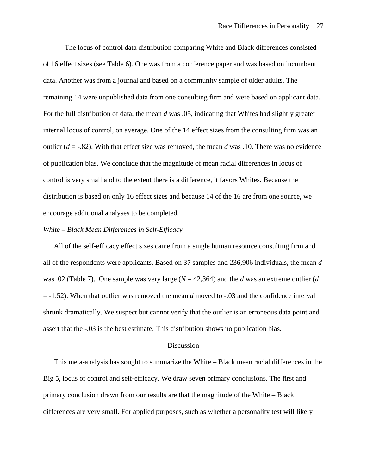The locus of control data distribution comparing White and Black differences consisted of 16 effect sizes (see Table 6). One was from a conference paper and was based on incumbent data. Another was from a journal and based on a community sample of older adults. The remaining 14 were unpublished data from one consulting firm and were based on applicant data. For the full distribution of data, the mean *d* was .05, indicating that Whites had slightly greater internal locus of control, on average. One of the 14 effect sizes from the consulting firm was an outlier (*d* = -.82). With that effect size was removed, the mean *d* was .10. There was no evidence of publication bias. We conclude that the magnitude of mean racial differences in locus of control is very small and to the extent there is a difference, it favors Whites. Because the distribution is based on only 16 effect sizes and because 14 of the 16 are from one source, we encourage additional analyses to be completed.

# *White – Black Mean Differences in Self-Efficacy*

 All of the self-efficacy effect sizes came from a single human resource consulting firm and all of the respondents were applicants. Based on 37 samples and 236,906 individuals, the mean *d* was .02 (Table 7). One sample was very large (*N* = 42,364) and the *d* was an extreme outlier (*d* = -1.52). When that outlier was removed the mean *d* moved to -.03 and the confidence interval shrunk dramatically. We suspect but cannot verify that the outlier is an erroneous data point and assert that the -.03 is the best estimate. This distribution shows no publication bias.

#### Discussion

 This meta-analysis has sought to summarize the White – Black mean racial differences in the Big 5, locus of control and self-efficacy. We draw seven primary conclusions. The first and primary conclusion drawn from our results are that the magnitude of the White – Black differences are very small. For applied purposes, such as whether a personality test will likely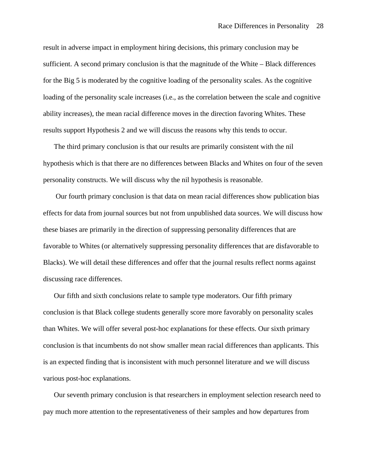result in adverse impact in employment hiring decisions, this primary conclusion may be sufficient. A second primary conclusion is that the magnitude of the White – Black differences for the Big 5 is moderated by the cognitive loading of the personality scales. As the cognitive loading of the personality scale increases (i.e., as the correlation between the scale and cognitive ability increases), the mean racial difference moves in the direction favoring Whites. These results support Hypothesis 2 and we will discuss the reasons why this tends to occur.

The third primary conclusion is that our results are primarily consistent with the nil hypothesis which is that there are no differences between Blacks and Whites on four of the seven personality constructs. We will discuss why the nil hypothesis is reasonable.

 Our fourth primary conclusion is that data on mean racial differences show publication bias effects for data from journal sources but not from unpublished data sources. We will discuss how these biases are primarily in the direction of suppressing personality differences that are favorable to Whites (or alternatively suppressing personality differences that are disfavorable to Blacks). We will detail these differences and offer that the journal results reflect norms against discussing race differences.

Our fifth and sixth conclusions relate to sample type moderators. Our fifth primary conclusion is that Black college students generally score more favorably on personality scales than Whites. We will offer several post-hoc explanations for these effects. Our sixth primary conclusion is that incumbents do not show smaller mean racial differences than applicants. This is an expected finding that is inconsistent with much personnel literature and we will discuss various post-hoc explanations.

Our seventh primary conclusion is that researchers in employment selection research need to pay much more attention to the representativeness of their samples and how departures from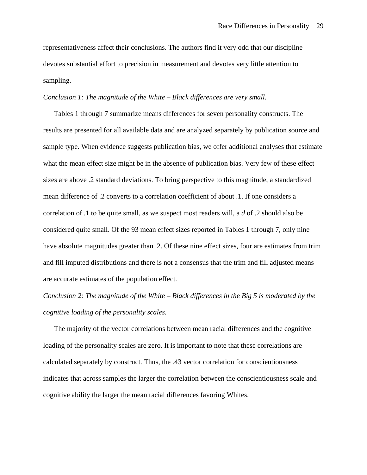representativeness affect their conclusions. The authors find it very odd that our discipline devotes substantial effort to precision in measurement and devotes very little attention to sampling.

## *Conclusion 1: The magnitude of the White – Black differences are very small.*

Tables 1 through 7 summarize means differences for seven personality constructs. The results are presented for all available data and are analyzed separately by publication source and sample type. When evidence suggests publication bias, we offer additional analyses that estimate what the mean effect size might be in the absence of publication bias. Very few of these effect sizes are above .2 standard deviations. To bring perspective to this magnitude, a standardized mean difference of .2 converts to a correlation coefficient of about .1. If one considers a correlation of .1 to be quite small, as we suspect most readers will, a *d* of .2 should also be considered quite small. Of the 93 mean effect sizes reported in Tables 1 through 7, only nine have absolute magnitudes greater than .2. Of these nine effect sizes, four are estimates from trim and fill imputed distributions and there is not a consensus that the trim and fill adjusted means are accurate estimates of the population effect.

# *Conclusion 2: The magnitude of the White – Black differences in the Big 5 is moderated by the cognitive loading of the personality scales.*

The majority of the vector correlations between mean racial differences and the cognitive loading of the personality scales are zero. It is important to note that these correlations are calculated separately by construct. Thus, the .43 vector correlation for conscientiousness indicates that across samples the larger the correlation between the conscientiousness scale and cognitive ability the larger the mean racial differences favoring Whites.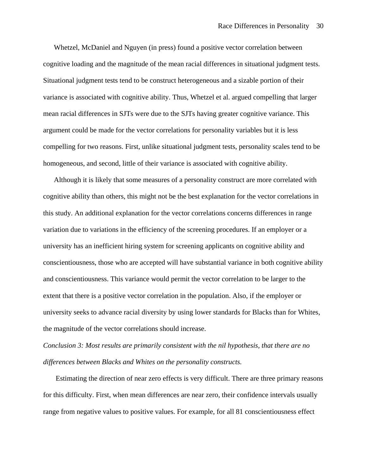Whetzel, McDaniel and Nguyen (in press) found a positive vector correlation between cognitive loading and the magnitude of the mean racial differences in situational judgment tests. Situational judgment tests tend to be construct heterogeneous and a sizable portion of their variance is associated with cognitive ability. Thus, Whetzel et al. argued compelling that larger mean racial differences in SJTs were due to the SJTs having greater cognitive variance. This argument could be made for the vector correlations for personality variables but it is less compelling for two reasons. First, unlike situational judgment tests, personality scales tend to be homogeneous, and second, little of their variance is associated with cognitive ability.

Although it is likely that some measures of a personality construct are more correlated with cognitive ability than others, this might not be the best explanation for the vector correlations in this study. An additional explanation for the vector correlations concerns differences in range variation due to variations in the efficiency of the screening procedures. If an employer or a university has an inefficient hiring system for screening applicants on cognitive ability and conscientiousness, those who are accepted will have substantial variance in both cognitive ability and conscientiousness. This variance would permit the vector correlation to be larger to the extent that there is a positive vector correlation in the population. Also, if the employer or university seeks to advance racial diversity by using lower standards for Blacks than for Whites, the magnitude of the vector correlations should increase.

*Conclusion 3: Most results are primarily consistent with the nil hypothesis, that there are no differences between Blacks and Whites on the personality constructs.* 

 Estimating the direction of near zero effects is very difficult. There are three primary reasons for this difficulty. First, when mean differences are near zero, their confidence intervals usually range from negative values to positive values. For example, for all 81 conscientiousness effect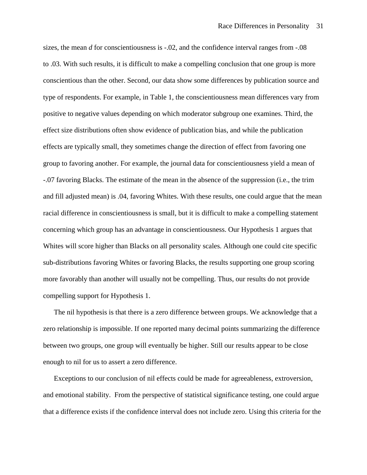sizes, the mean *d* for conscientiousness is -.02, and the confidence interval ranges from -.08 to .03. With such results, it is difficult to make a compelling conclusion that one group is more conscientious than the other. Second, our data show some differences by publication source and type of respondents. For example, in Table 1, the conscientiousness mean differences vary from positive to negative values depending on which moderator subgroup one examines. Third, the effect size distributions often show evidence of publication bias, and while the publication effects are typically small, they sometimes change the direction of effect from favoring one group to favoring another. For example, the journal data for conscientiousness yield a mean of -.07 favoring Blacks. The estimate of the mean in the absence of the suppression (i.e., the trim and fill adjusted mean) is .04, favoring Whites. With these results, one could argue that the mean racial difference in conscientiousness is small, but it is difficult to make a compelling statement concerning which group has an advantage in conscientiousness. Our Hypothesis 1 argues that Whites will score higher than Blacks on all personality scales. Although one could cite specific sub-distributions favoring Whites or favoring Blacks, the results supporting one group scoring more favorably than another will usually not be compelling. Thus, our results do not provide compelling support for Hypothesis 1.

The nil hypothesis is that there is a zero difference between groups. We acknowledge that a zero relationship is impossible. If one reported many decimal points summarizing the difference between two groups, one group will eventually be higher. Still our results appear to be close enough to nil for us to assert a zero difference.

Exceptions to our conclusion of nil effects could be made for agreeableness, extroversion, and emotional stability. From the perspective of statistical significance testing, one could argue that a difference exists if the confidence interval does not include zero. Using this criteria for the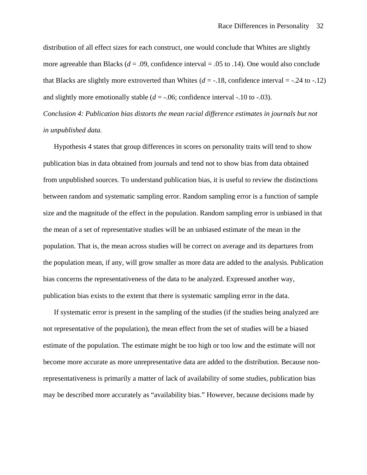distribution of all effect sizes for each construct, one would conclude that Whites are slightly more agreeable than Blacks ( $d = .09$ , confidence interval = .05 to .14). One would also conclude that Blacks are slightly more extroverted than Whites  $(d = -0.18)$ , confidence interval =  $-0.24$  to  $-0.12$ ) and slightly more emotionally stable  $(d = -0.06)$ ; confidence interval  $-0.10$  to  $-0.03$ ).

*Conclusion 4: Publication bias distorts the mean racial difference estimates in journals but not in unpublished data.* 

 Hypothesis 4 states that group differences in scores on personality traits will tend to show publication bias in data obtained from journals and tend not to show bias from data obtained from unpublished sources. To understand publication bias, it is useful to review the distinctions between random and systematic sampling error. Random sampling error is a function of sample size and the magnitude of the effect in the population. Random sampling error is unbiased in that the mean of a set of representative studies will be an unbiased estimate of the mean in the population. That is, the mean across studies will be correct on average and its departures from the population mean, if any, will grow smaller as more data are added to the analysis. Publication bias concerns the representativeness of the data to be analyzed. Expressed another way, publication bias exists to the extent that there is systematic sampling error in the data.

If systematic error is present in the sampling of the studies (if the studies being analyzed are not representative of the population), the mean effect from the set of studies will be a biased estimate of the population. The estimate might be too high or too low and the estimate will not become more accurate as more unrepresentative data are added to the distribution. Because nonrepresentativeness is primarily a matter of lack of availability of some studies, publication bias may be described more accurately as "availability bias." However, because decisions made by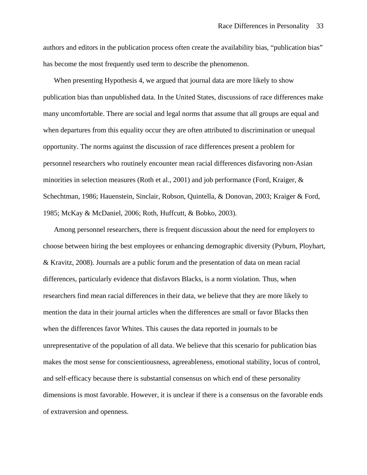authors and editors in the publication process often create the availability bias, "publication bias" has become the most frequently used term to describe the phenomenon.

When presenting Hypothesis 4, we argued that journal data are more likely to show publication bias than unpublished data. In the United States, discussions of race differences make many uncomfortable. There are social and legal norms that assume that all groups are equal and when departures from this equality occur they are often attributed to discrimination or unequal opportunity. The norms against the discussion of race differences present a problem for personnel researchers who routinely encounter mean racial differences disfavoring non-Asian minorities in selection measures (Roth et al., 2001) and job performance (Ford, Kraiger, & Schechtman, 1986; Hauenstein, Sinclair, Robson, Quintella, & Donovan, 2003; Kraiger & Ford, 1985; McKay & McDaniel, 2006; Roth, Huffcutt, & Bobko, 2003).

Among personnel researchers, there is frequent discussion about the need for employers to choose between hiring the best employees or enhancing demographic diversity (Pyburn, Ployhart, & Kravitz, 2008). Journals are a public forum and the presentation of data on mean racial differences, particularly evidence that disfavors Blacks, is a norm violation. Thus, when researchers find mean racial differences in their data, we believe that they are more likely to mention the data in their journal articles when the differences are small or favor Blacks then when the differences favor Whites. This causes the data reported in journals to be unrepresentative of the population of all data. We believe that this scenario for publication bias makes the most sense for conscientiousness, agreeableness, emotional stability, locus of control, and self-efficacy because there is substantial consensus on which end of these personality dimensions is most favorable. However, it is unclear if there is a consensus on the favorable ends of extraversion and openness.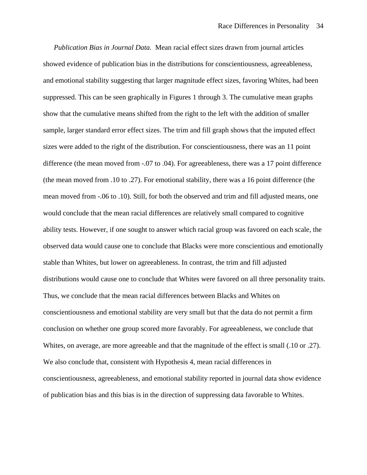*Publication Bias in Journal Data.* Mean racial effect sizes drawn from journal articles showed evidence of publication bias in the distributions for conscientiousness, agreeableness, and emotional stability suggesting that larger magnitude effect sizes, favoring Whites, had been suppressed. This can be seen graphically in Figures 1 through 3. The cumulative mean graphs show that the cumulative means shifted from the right to the left with the addition of smaller sample, larger standard error effect sizes. The trim and fill graph shows that the imputed effect sizes were added to the right of the distribution. For conscientiousness, there was an 11 point difference (the mean moved from -.07 to .04). For agreeableness, there was a 17 point difference (the mean moved from .10 to .27). For emotional stability, there was a 16 point difference (the mean moved from -.06 to .10). Still, for both the observed and trim and fill adjusted means, one would conclude that the mean racial differences are relatively small compared to cognitive ability tests. However, if one sought to answer which racial group was favored on each scale, the observed data would cause one to conclude that Blacks were more conscientious and emotionally stable than Whites, but lower on agreeableness. In contrast, the trim and fill adjusted distributions would cause one to conclude that Whites were favored on all three personality traits. Thus, we conclude that the mean racial differences between Blacks and Whites on conscientiousness and emotional stability are very small but that the data do not permit a firm conclusion on whether one group scored more favorably. For agreeableness, we conclude that Whites, on average, are more agreeable and that the magnitude of the effect is small (.10 or .27). We also conclude that, consistent with Hypothesis 4, mean racial differences in conscientiousness, agreeableness, and emotional stability reported in journal data show evidence of publication bias and this bias is in the direction of suppressing data favorable to Whites.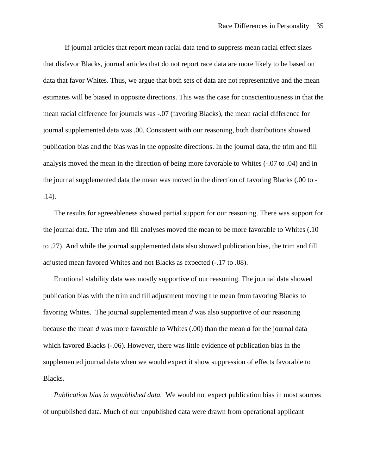If journal articles that report mean racial data tend to suppress mean racial effect sizes that disfavor Blacks, journal articles that do not report race data are more likely to be based on data that favor Whites. Thus, we argue that both sets of data are not representative and the mean estimates will be biased in opposite directions. This was the case for conscientiousness in that the mean racial difference for journals was -.07 (favoring Blacks), the mean racial difference for journal supplemented data was .00. Consistent with our reasoning, both distributions showed publication bias and the bias was in the opposite directions. In the journal data, the trim and fill analysis moved the mean in the direction of being more favorable to Whites (-.07 to .04) and in the journal supplemented data the mean was moved in the direction of favoring Blacks (.00 to - .14).

The results for agreeableness showed partial support for our reasoning. There was support for the journal data. The trim and fill analyses moved the mean to be more favorable to Whites (.10 to .27). And while the journal supplemented data also showed publication bias, the trim and fill adjusted mean favored Whites and not Blacks as expected (-.17 to .08).

Emotional stability data was mostly supportive of our reasoning. The journal data showed publication bias with the trim and fill adjustment moving the mean from favoring Blacks to favoring Whites. The journal supplemented mean *d* was also supportive of our reasoning because the mean *d* was more favorable to Whites (.00) than the mean *d* for the journal data which favored Blacks (-.06). However, there was little evidence of publication bias in the supplemented journal data when we would expect it show suppression of effects favorable to Blacks.

*Publication bias in unpublished data.* We would not expect publication bias in most sources of unpublished data. Much of our unpublished data were drawn from operational applicant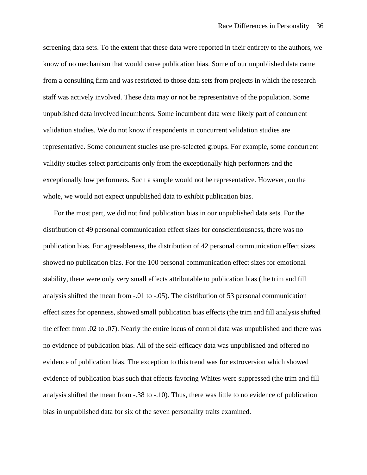screening data sets. To the extent that these data were reported in their entirety to the authors, we know of no mechanism that would cause publication bias. Some of our unpublished data came from a consulting firm and was restricted to those data sets from projects in which the research staff was actively involved. These data may or not be representative of the population. Some unpublished data involved incumbents. Some incumbent data were likely part of concurrent validation studies. We do not know if respondents in concurrent validation studies are representative. Some concurrent studies use pre-selected groups. For example, some concurrent validity studies select participants only from the exceptionally high performers and the exceptionally low performers. Such a sample would not be representative. However, on the whole, we would not expect unpublished data to exhibit publication bias.

 For the most part, we did not find publication bias in our unpublished data sets. For the distribution of 49 personal communication effect sizes for conscientiousness, there was no publication bias. For agreeableness, the distribution of 42 personal communication effect sizes showed no publication bias. For the 100 personal communication effect sizes for emotional stability, there were only very small effects attributable to publication bias (the trim and fill analysis shifted the mean from -.01 to -.05). The distribution of 53 personal communication effect sizes for openness, showed small publication bias effects (the trim and fill analysis shifted the effect from .02 to .07). Nearly the entire locus of control data was unpublished and there was no evidence of publication bias. All of the self-efficacy data was unpublished and offered no evidence of publication bias. The exception to this trend was for extroversion which showed evidence of publication bias such that effects favoring Whites were suppressed (the trim and fill analysis shifted the mean from -.38 to -.10). Thus, there was little to no evidence of publication bias in unpublished data for six of the seven personality traits examined.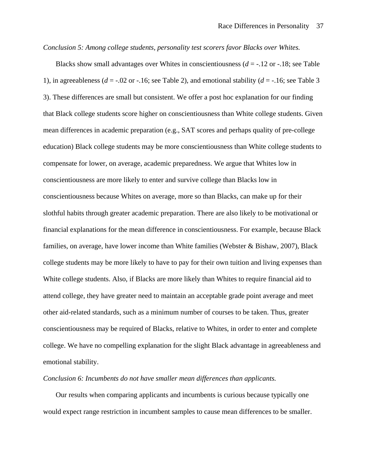## *Conclusion 5: Among college students, personality test scorers favor Blacks over Whites.*

 Blacks show small advantages over Whites in conscientiousness (*d* = -.12 or -.18; see Table 1), in agreeableness ( $d = -0.02$  or  $-0.16$ ; see Table 2), and emotional stability ( $d = -0.16$ ; see Table 3) 3). These differences are small but consistent. We offer a post hoc explanation for our finding that Black college students score higher on conscientiousness than White college students. Given mean differences in academic preparation (e.g., SAT scores and perhaps quality of pre-college education) Black college students may be more conscientiousness than White college students to compensate for lower, on average, academic preparedness. We argue that Whites low in conscientiousness are more likely to enter and survive college than Blacks low in conscientiousness because Whites on average, more so than Blacks, can make up for their slothful habits through greater academic preparation. There are also likely to be motivational or financial explanations for the mean difference in conscientiousness. For example, because Black families, on average, have lower income than White families (Webster & Bishaw, 2007), Black college students may be more likely to have to pay for their own tuition and living expenses than White college students. Also, if Blacks are more likely than Whites to require financial aid to attend college, they have greater need to maintain an acceptable grade point average and meet other aid-related standards, such as a minimum number of courses to be taken. Thus, greater conscientiousness may be required of Blacks, relative to Whites, in order to enter and complete college. We have no compelling explanation for the slight Black advantage in agreeableness and emotional stability.

# *Conclusion 6: Incumbents do not have smaller mean differences than applicants.*

 Our results when comparing applicants and incumbents is curious because typically one would expect range restriction in incumbent samples to cause mean differences to be smaller.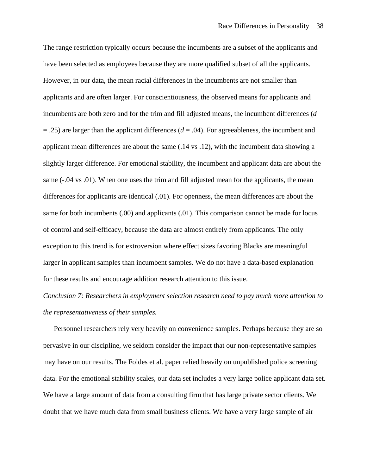The range restriction typically occurs because the incumbents are a subset of the applicants and have been selected as employees because they are more qualified subset of all the applicants. However, in our data, the mean racial differences in the incumbents are not smaller than applicants and are often larger. For conscientiousness, the observed means for applicants and incumbents are both zero and for the trim and fill adjusted means, the incumbent differences (*d*   $= .25$ ) are larger than the applicant differences ( $d = .04$ ). For agreeableness, the incumbent and applicant mean differences are about the same (.14 vs .12), with the incumbent data showing a slightly larger difference. For emotional stability, the incumbent and applicant data are about the same (-.04 vs .01). When one uses the trim and fill adjusted mean for the applicants, the mean differences for applicants are identical (.01). For openness, the mean differences are about the same for both incumbents (.00) and applicants (.01). This comparison cannot be made for locus of control and self-efficacy, because the data are almost entirely from applicants. The only exception to this trend is for extroversion where effect sizes favoring Blacks are meaningful larger in applicant samples than incumbent samples. We do not have a data-based explanation for these results and encourage addition research attention to this issue.

# *Conclusion 7: Researchers in employment selection research need to pay much more attention to the representativeness of their samples.*

Personnel researchers rely very heavily on convenience samples. Perhaps because they are so pervasive in our discipline, we seldom consider the impact that our non-representative samples may have on our results. The Foldes et al. paper relied heavily on unpublished police screening data. For the emotional stability scales, our data set includes a very large police applicant data set. We have a large amount of data from a consulting firm that has large private sector clients. We doubt that we have much data from small business clients. We have a very large sample of air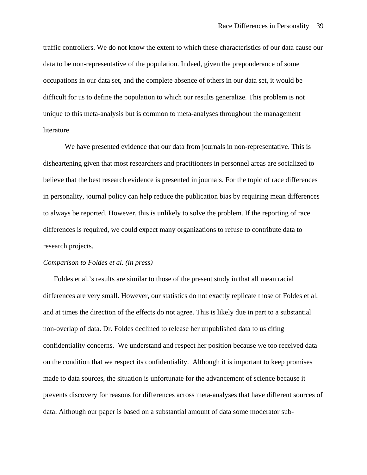traffic controllers. We do not know the extent to which these characteristics of our data cause our data to be non-representative of the population. Indeed, given the preponderance of some occupations in our data set, and the complete absence of others in our data set, it would be difficult for us to define the population to which our results generalize. This problem is not unique to this meta-analysis but is common to meta-analyses throughout the management literature.

We have presented evidence that our data from journals in non-representative. This is disheartening given that most researchers and practitioners in personnel areas are socialized to believe that the best research evidence is presented in journals. For the topic of race differences in personality, journal policy can help reduce the publication bias by requiring mean differences to always be reported. However, this is unlikely to solve the problem. If the reporting of race differences is required, we could expect many organizations to refuse to contribute data to research projects.

# *Comparison to Foldes et al. (in press)*

Foldes et al.'s results are similar to those of the present study in that all mean racial differences are very small. However, our statistics do not exactly replicate those of Foldes et al. and at times the direction of the effects do not agree. This is likely due in part to a substantial non-overlap of data. Dr. Foldes declined to release her unpublished data to us citing confidentiality concerns. We understand and respect her position because we too received data on the condition that we respect its confidentiality. Although it is important to keep promises made to data sources, the situation is unfortunate for the advancement of science because it prevents discovery for reasons for differences across meta-analyses that have different sources of data. Although our paper is based on a substantial amount of data some moderator sub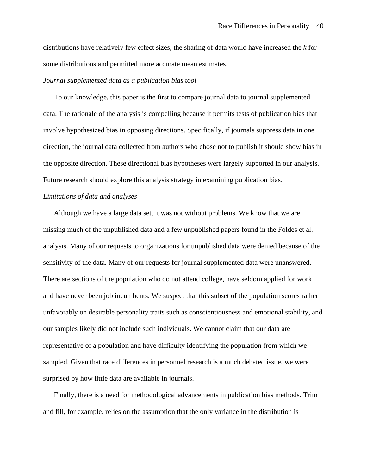distributions have relatively few effect sizes, the sharing of data would have increased the *k* for some distributions and permitted more accurate mean estimates.

# *Journal supplemented data as a publication bias tool*

 To our knowledge, this paper is the first to compare journal data to journal supplemented data. The rationale of the analysis is compelling because it permits tests of publication bias that involve hypothesized bias in opposing directions. Specifically, if journals suppress data in one direction, the journal data collected from authors who chose not to publish it should show bias in the opposite direction. These directional bias hypotheses were largely supported in our analysis. Future research should explore this analysis strategy in examining publication bias.

# *Limitations of data and analyses*

 Although we have a large data set, it was not without problems. We know that we are missing much of the unpublished data and a few unpublished papers found in the Foldes et al. analysis. Many of our requests to organizations for unpublished data were denied because of the sensitivity of the data. Many of our requests for journal supplemented data were unanswered. There are sections of the population who do not attend college, have seldom applied for work and have never been job incumbents. We suspect that this subset of the population scores rather unfavorably on desirable personality traits such as conscientiousness and emotional stability, and our samples likely did not include such individuals. We cannot claim that our data are representative of a population and have difficulty identifying the population from which we sampled. Given that race differences in personnel research is a much debated issue, we were surprised by how little data are available in journals.

 Finally, there is a need for methodological advancements in publication bias methods. Trim and fill, for example, relies on the assumption that the only variance in the distribution is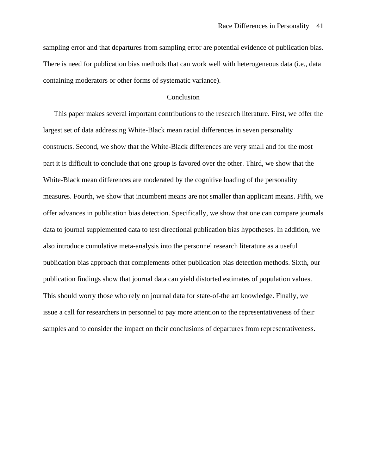sampling error and that departures from sampling error are potential evidence of publication bias. There is need for publication bias methods that can work well with heterogeneous data (i.e., data containing moderators or other forms of systematic variance).

## **Conclusion**

 This paper makes several important contributions to the research literature. First, we offer the largest set of data addressing White-Black mean racial differences in seven personality constructs. Second, we show that the White-Black differences are very small and for the most part it is difficult to conclude that one group is favored over the other. Third, we show that the White-Black mean differences are moderated by the cognitive loading of the personality measures. Fourth, we show that incumbent means are not smaller than applicant means. Fifth, we offer advances in publication bias detection. Specifically, we show that one can compare journals data to journal supplemented data to test directional publication bias hypotheses. In addition, we also introduce cumulative meta-analysis into the personnel research literature as a useful publication bias approach that complements other publication bias detection methods. Sixth, our publication findings show that journal data can yield distorted estimates of population values. This should worry those who rely on journal data for state-of-the art knowledge. Finally, we issue a call for researchers in personnel to pay more attention to the representativeness of their samples and to consider the impact on their conclusions of departures from representativeness.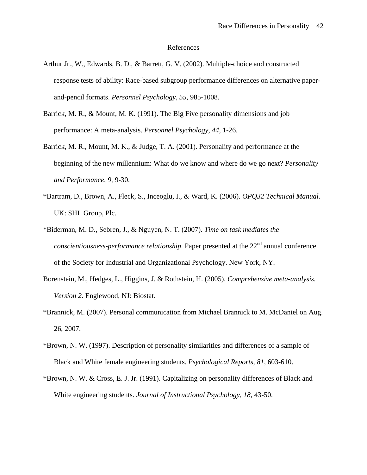#### References

- Arthur Jr., W., Edwards, B. D., & Barrett, G. V. (2002). Multiple-choice and constructed response tests of ability: Race-based subgroup performance differences on alternative paperand-pencil formats. *Personnel Psychology, 55,* 985-1008.
- Barrick, M. R., & Mount, M. K. (1991). The Big Five personality dimensions and job performance: A meta-analysis. *Personnel Psychology, 44,* 1-26.
- Barrick, M. R., Mount, M. K., & Judge, T. A. (2001). Personality and performance at the beginning of the new millennium: What do we know and where do we go next? *Personality and Performance, 9,* 9-30.
- \*Bartram, D., Brown, A., Fleck, S., Inceoglu, I., & Ward, K. (2006). *OPQ32 Technical Manual.* UK: SHL Group, Plc.
- \*Biderman, M. D., Sebren, J., & Nguyen, N. T. (2007). *Time on task mediates the conscientiousness-performance relationship*. Paper presented at the 22<sup>nd</sup> annual conference of the Society for Industrial and Organizational Psychology. New York, NY.
- Borenstein, M., Hedges, L., Higgins, J. & Rothstein, H. (2005). *Comprehensive meta-analysis. Version 2*. Englewood, NJ: Biostat.
- \*Brannick, M. (2007). Personal communication from Michael Brannick to M. McDaniel on Aug. 26, 2007.
- \*Brown, N. W. (1997). Description of personality similarities and differences of a sample of Black and White female engineering students. *Psychological Reports, 81,* 603-610.
- \*Brown, N. W. & Cross, E. J. Jr. (1991). Capitalizing on personality differences of Black and White engineering students. *Journal of Instructional Psychology, 18,* 43-50.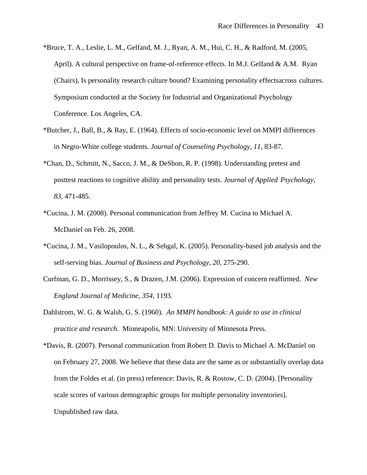- \*Bruce, T. A., Leslie, L. M., Gelfand, M. J., Ryan, A. M., Hui, C. H., & Radford, M. (2005, April). A cultural perspective on frame-of-reference effects. In M.J. Gelfand & A.M. Ryan (Chairs), Is personality research culture bound? Examining personality effects across cultures. Symposium conducted at the Society for Industrial and Organizational Psychology Conference. Los Angeles, CA.
- \*Butcher, J., Ball, B., & Ray, E. (1964). Effects of socio-economic level on MMPI differences in Negro-White college students. *Journal of Counseling Psychology, 11,* 83-87.
- \*Chan, D., Schmitt, N., Sacco, J. M., & DeShon, R. P. (1998). Understanding pretest and posttest reactions to cognitive ability and personality tests. *Journal of Applied Psychology, 83,* 471-485.
- \*Cucina, J. M. (2008). Personal communication from Jeffrey M. Cucina to Michael A. McDaniel on Feb. 26, 2008.
- \*Cucina, J. M., Vasilopoulos, N. L., & Sehgal, K. (2005). Personality-based job analysis and the self-serving bias. *Journal of Business and Psychology, 20,* 275-290.
- Curfman, G. D., Morrissey, S., & Drazen, J.M. (2006). Expression of concern reaffirmed. *New England Journal of Medicine, 354,* 1193.
- Dahlstrom, W. G. & Walsh, G. S. (1960). *An MMPI handbook: A guide to use in clinical practice and research.* Minneapolis, MN: University of Minnesota Press.
- \*Davis, R. (2007). Personal communication from Robert D. Davis to Michael A. McDaniel on on February 27, 2008. We believe that these data are the same as or substantially overlap data from the Foldes et al. (in press) reference: Davis, R. & Rostow, C. D. (2004). [Personality scale scores of various demographic groups for multiple personality inventories]. Unpublished raw data.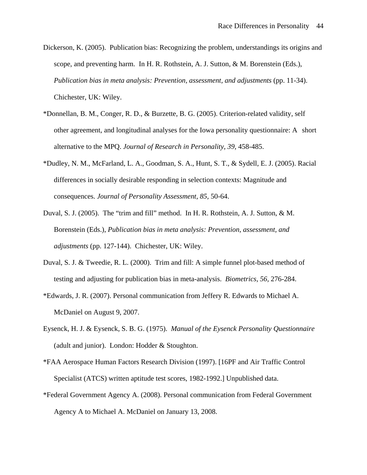- Dickerson, K. (2005). Publication bias: Recognizing the problem, understandings its origins and scope, and preventing harm. In H. R. Rothstein, A. J. Sutton, & M. Borenstein (Eds.), *Publication bias in meta analysis: Prevention, assessment, and adjustments* (pp. 11-34). Chichester, UK: Wiley.
- \*Donnellan, B. M., Conger, R. D., & Burzette, B. G. (2005). Criterion-related validity, self other agreement, and longitudinal analyses for the Iowa personality questionnaire: A short alternative to the MPQ. *Journal of Research in Personality, 39,* 458-485.
- \*Dudley, N. M., McFarland, L. A., Goodman, S. A., Hunt, S. T., & Sydell, E. J. (2005). Racial differences in socially desirable responding in selection contexts: Magnitude and consequences. *Journal of Personality Assessment, 85,* 50-64.
- Duval, S. J. (2005). The "trim and fill" method. In H. R. Rothstein, A. J. Sutton, & M. Borenstein (Eds.), *Publication bias in meta analysis: Prevention, assessment, and adjustments* (pp. 127-144). Chichester, UK: Wiley.
- Duval, S. J. & Tweedie, R. L. (2000). Trim and fill: A simple funnel plot-based method of testing and adjusting for publication bias in meta-analysis. *Biometrics, 56,* 276-284.
- \*Edwards, J. R. (2007). Personal communication from Jeffery R. Edwards to Michael A. McDaniel on August 9, 2007.
- Eysenck, H. J. & Eysenck, S. B. G. (1975). *Manual of the Eysenck Personality Questionnaire* (adult and junior). London: Hodder & Stoughton.
- \*FAA Aerospace Human Factors Research Division (1997). [16PF and Air Traffic Control Specialist (ATCS) written aptitude test scores, 1982-1992.] Unpublished data.
- \*Federal Government Agency A. (2008). Personal communication from Federal Government Agency A to Michael A. McDaniel on January 13, 2008.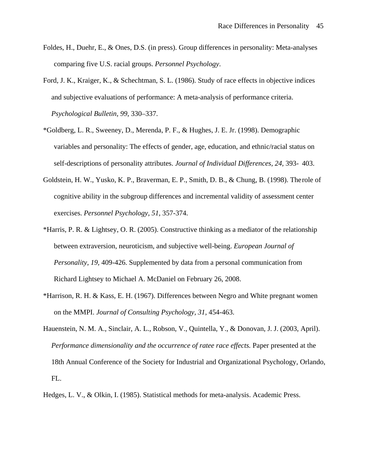- Foldes, H., Duehr, E., & Ones, D.S. (in press). Group differences in personality: Meta-analyses comparing five U.S. racial groups. *Personnel Psychology*.
- Ford, J. K., Kraiger, K., & Schechtman, S. L. (1986). Study of race effects in objective indices and subjective evaluations of performance: A meta-analysis of performance criteria. *Psychological Bulletin, 99*, 330–337.
- \*Goldberg, L. R., Sweeney, D., Merenda, P. F., & Hughes, J. E. Jr. (1998). Demographic variables and personality: The effects of gender, age, education, and ethnic/racial status on self-descriptions of personality attributes. *Journal of Individual Differences, 24,* 393- 403.
- Goldstein, H. W., Yusko, K. P., Braverman, E. P., Smith, D. B., & Chung, B. (1998). The role of cognitive ability in the subgroup differences and incremental validity of assessment center exercises. *Personnel Psychology, 51,* 357-374.
- \*Harris, P. R. & Lightsey, O. R. (2005). Constructive thinking as a mediator of the relationship between extraversion, neuroticism, and subjective well-being. *European Journal of Personality, 19,* 409-426. Supplemented by data from a personal communication from Richard Lightsey to Michael A. McDaniel on February 26, 2008.
- \*Harrison, R. H. & Kass, E. H. (1967). Differences between Negro and White pregnant women on the MMPI. *Journal of Consulting Psychology, 31,* 454-463.
- Hauenstein, N. M. A., Sinclair, A. L., Robson, V., Quintella, Y., & Donovan, J. J. (2003, April). *Performance dimensionality and the occurrence of ratee race effects.* Paper presented at the 18th Annual Conference of the Society for Industrial and Organizational Psychology, Orlando, FL.
- Hedges, L. V., & Olkin, I. (1985). Statistical methods for meta-analysis. Academic Press.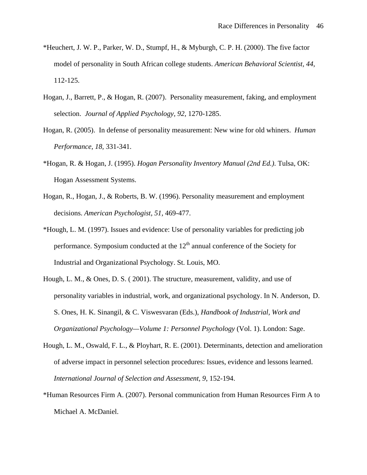- \*Heuchert, J. W. P., Parker, W. D., Stumpf, H., & Myburgh, C. P. H. (2000). The five factor model of personality in South African college students. *American Behavioral Scientist, 44,* 112-125.
- Hogan, J., Barrett, P., & Hogan, R. (2007). Personality measurement, faking, and employment selection. *Journal of Applied Psychology, 92,* 1270-1285.
- Hogan, R. (2005). In defense of personality measurement: New wine for old whiners. *Human Performance, 18,* 331-341.
- \*Hogan, R. & Hogan, J. (1995). *Hogan Personality Inventory Manual (2nd Ed.)*. Tulsa, OK: Hogan Assessment Systems.
- Hogan, R., Hogan, J., & Roberts, B. W. (1996). Personality measurement and employment decisions. *American Psychologist, 51,* 469-477.
- \*Hough, L. M. (1997). Issues and evidence: Use of personality variables for predicting job performance. Symposium conducted at the  $12<sup>th</sup>$  annual conference of the Society for Industrial and Organizational Psychology. St. Louis, MO.
- Hough, L. M., & Ones, D. S. ( 2001). The structure, measurement, validity, and use of personality variables in industrial, work, and organizational psychology. In N. Anderson, D. S. Ones, H. K. Sinangil, & C. Viswesvaran (Eds.), *Handbook of Industrial, Work and Organizational Psychology—Volume 1: Personnel Psychology* (Vol. 1). London: Sage.
- Hough, L. M., Oswald, F. L., & Ployhart, R. E. (2001). Determinants, detection and amelioration of adverse impact in personnel selection procedures: Issues, evidence and lessons learned. *International Journal of Selection and Assessment, 9*, 152-194.
- \*Human Resources Firm A. (2007). Personal communication from Human Resources Firm A to Michael A. McDaniel.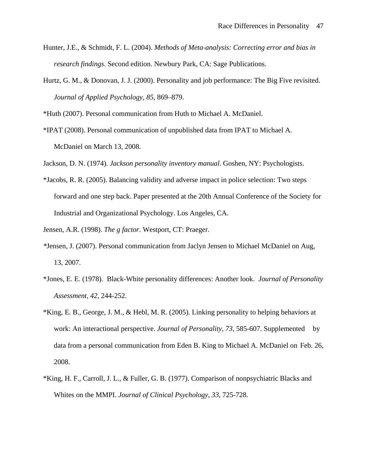- Hunter, J.E., & Schmidt, F. L. (2004). *Methods of Meta-analysis: Correcting error and bias in research findings*. Second edition. Newbury Park, CA: Sage Publications.
- Hurtz, G. M., & Donovan, J. J. (2000). Personality and job performance: The Big Five revisited. *Journal of Applied Psychology, 85,* 869–879.

\*Huth (2007). Personal communication from Huth to Michael A. McDaniel.

\*IPAT (2008). Personal communication of unpublished data from IPAT to Michael A. McDaniel on March 13, 2008.

Jackson, D. N. (1974). *Jackson personality inventory manual*. Goshen, NY: Psychologists.

\*Jacobs, R. R. (2005). Balancing validity and adverse impact in police selection: Two steps forward and one step back. Paper presented at the 20th Annual Conference of the Society for Industrial and Organizational Psychology. Los Angeles, CA.

Jensen, A.R. (1998). *The g factor*. Westport, CT: Praeger.

- *\**Jensen, J. (2007). Personal communication from Jaclyn Jensen to Michael McDaniel on Aug, 13, 2007.
- \*Jones, E. E. (1978). Black-White personality differences: Another look. *Journal of Personality Assessment, 42,* 244-252.
- \*King, E. B., George, J. M., & Hebl, M. R. (2005). Linking personality to helping behaviors at work: An interactional perspective. *Journal of Personality, 73,* 585-607. Supplemented by data from a personal communication from Eden B. King to Michael A. McDaniel on Feb. 26, 2008.
- \*King, H. F., Carroll, J. L., & Fuller, G. B. (1977). Comparison of nonpsychiatric Blacks and Whites on the MMPI. *Journal of Clinical Psychology, 33,* 725-728.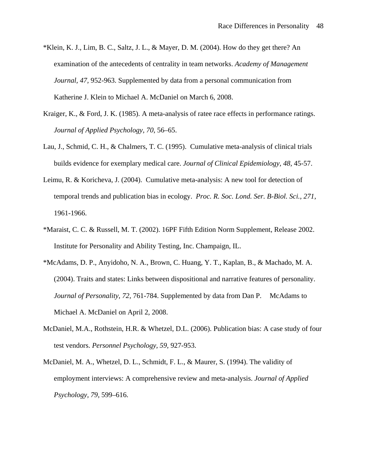- \*Klein, K. J., Lim, B. C., Saltz, J. L., & Mayer, D. M. (2004). How do they get there? An examination of the antecedents of centrality in team networks. *Academy of Management Journal, 47,* 952-963. Supplemented by data from a personal communication from Katherine J. Klein to Michael A. McDaniel on March 6, 2008.
- Kraiger, K., & Ford, J. K. (1985). A meta-analysis of ratee race effects in performance ratings. *Journal of Applied Psychology, 70*, 56–65.
- Lau, J., Schmid, C. H., & Chalmers, T. C. (1995). Cumulative meta-analysis of clinical trials builds evidence for exemplary medical care. *Journal of Clinical Epidemiology, 48,* 45-57.
- Leimu, R. & Koricheva, J. (2004). Cumulative meta-analysis: A new tool for detection of temporal trends and publication bias in ecology. *Proc. R. Soc. Lond. Ser. B-Biol. Sci., 271,* 1961-1966.
- \*Maraist, C. C. & Russell, M. T. (2002). 16PF Fifth Edition Norm Supplement, Release 2002. Institute for Personality and Ability Testing, Inc. Champaign, IL.
- \*McAdams, D. P., Anyidoho, N. A., Brown, C. Huang, Y. T., Kaplan, B., & Machado, M. A. (2004). Traits and states: Links between dispositional and narrative features of personality. *Journal of Personality, 72,* 761-784. Supplemented by data from Dan P. McAdams to Michael A. McDaniel on April 2, 2008.
- McDaniel, M.A., Rothstein, H.R. & Whetzel, D.L. (2006). Publication bias: A case study of four test vendors. *Personnel Psychology, 59,* 927-953.
- McDaniel, M. A., Whetzel, D. L., Schmidt, F. L., & Maurer, S. (1994). The validity of employment interviews: A comprehensive review and meta-analysis. *Journal of Applied Psychology, 79,* 599–616.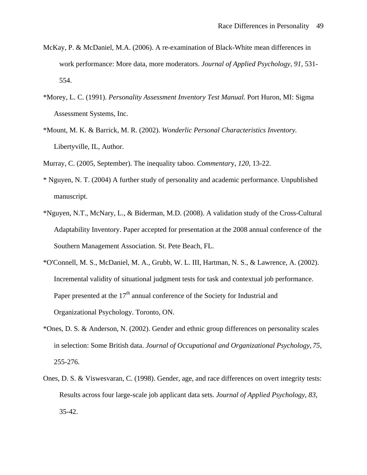- McKay, P. & McDaniel, M.A. (2006). A re-examination of Black-White mean differences in work performance: More data, more moderators. *Journal of Applied Psychology, 91,* 531- 554.
- \*Morey, L. C. (1991). *Personality Assessment Inventory Test Manual.* Port Huron, MI: Sigma Assessment Systems, Inc.
- \*Mount, M. K. & Barrick, M. R. (2002). *Wonderlic Personal Characteristics Inventory.* Libertyville, IL, Author.
- Murray, C. (2005, September). The inequality taboo. *Commentar*y, *120,* 13-22.
- \* Nguyen, N. T. (2004) A further study of personality and academic performance. Unpublished manuscript.
- \*Nguyen, N.T., McNary, L., & Biderman, M.D. (2008). A validation study of the Cross-Cultural Adaptability Inventory. Paper accepted for presentation at the 2008 annual conference of the Southern Management Association. St. Pete Beach, FL.
- \*O'Connell, M. S., McDaniel, M. A., Grubb, W. L. III, Hartman, N. S., & Lawrence, A. (2002). Incremental validity of situational judgment tests for task and contextual job performance. Paper presented at the  $17<sup>th</sup>$  annual conference of the Society for Industrial and Organizational Psychology. Toronto, ON.
- \*Ones, D. S. & Anderson, N. (2002). Gender and ethnic group differences on personality scales in selection: Some British data. *Journal of Occupational and Organizational Psychology, 75,* 255-276.
- Ones, D. S. & Viswesvaran, C. (1998). Gender, age, and race differences on overt integrity tests: Results across four large-scale job applicant data sets. *Journal of Applied Psychology, 83,* 35-42.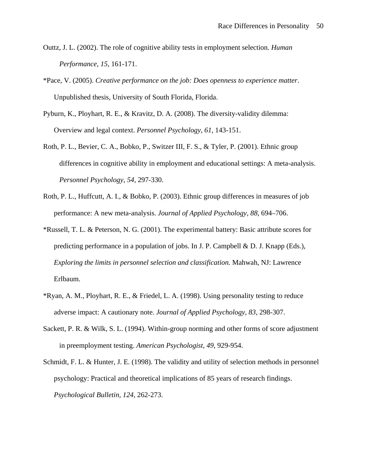- Outtz, J. L. (2002). The role of cognitive ability tests in employment selection. *Human Performance, 15,* 161-171.
- \*Pace, V. (2005). *Creative performance on the job: Does openness to experience matter*. Unpublished thesis, University of South Florida, Florida.
- Pyburn, K., Ployhart, R. E., & Kravitz, D. A. (2008). The diversity-validity dilemma: Overview and legal context. *Personnel Psychology, 61*, 143-151.
- Roth, P. L., Bevier, C. A., Bobko, P., Switzer III, F. S., & Tyler, P. (2001). Ethnic group differences in cognitive ability in employment and educational settings: A meta-analysis. *Personnel Psychology, 54,* 297-330.
- Roth, P. L., Huffcutt, A. I., & Bobko, P. (2003). Ethnic group differences in measures of job performance: A new meta-analysis. *Journal of Applied Psychology, 88*, 694–706.
- \*Russell, T. L. & Peterson, N. G. (2001). The experimental battery: Basic attribute scores for predicting performance in a population of jobs. In J. P. Campbell & D. J. Knapp (Eds.), *Exploring the limits in personnel selection and classification.* Mahwah, NJ: Lawrence Erlbaum.
- \*Ryan, A. M., Ployhart, R. E., & Friedel, L. A. (1998). Using personality testing to reduce adverse impact: A cautionary note. *Journal of Applied Psychology, 83,* 298-307.
- Sackett, P. R. & Wilk, S. L. (1994). Within-group norming and other forms of score adjustment in preemployment testing. *American Psychologist, 49,* 929-954.
- Schmidt, F. L. & Hunter, J. E. (1998). The validity and utility of selection methods in personnel psychology: Practical and theoretical implications of 85 years of research findings. *Psychological Bulletin, 124,* 262-273.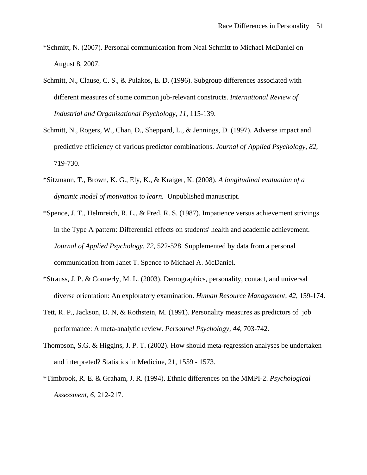- \*Schmitt, N. (2007). Personal communication from Neal Schmitt to Michael McDaniel on August 8, 2007.
- Schmitt, N., Clause, C. S., & Pulakos, E. D. (1996). Subgroup differences associated with different measures of some common job-relevant constructs. *International Review of Industrial and Organizational Psychology, 11,* 115-139.
- Schmitt, N., Rogers, W., Chan, D., Sheppard, L., & Jennings, D. (1997). Adverse impact and predictive efficiency of various predictor combinations. *Journal of Applied Psychology, 82,* 719-730.
- \*Sitzmann, T., Brown, K. G., Ely, K., & Kraiger, K. (2008). *A longitudinal evaluation of a dynamic model of motivation to learn.* Unpublished manuscript.
- \*Spence, J. T., Helmreich, R. L., & Pred, R. S. (1987). Impatience versus achievement strivings in the Type A pattern: Differential effects on students' health and academic achievement. *Journal of Applied Psychology, 72,* 522-528. Supplemented by data from a personal communication from Janet T. Spence to Michael A. McDaniel.
- \*Strauss, J. P. & Connerly, M. L. (2003). Demographics, personality, contact, and universal diverse orientation: An exploratory examination. *Human Resource Management, 42,* 159-174.
- Tett, R. P., Jackson, D. N, & Rothstein, M. (1991). Personality measures as predictors of job performance: A meta-analytic review. *Personnel Psychology, 44,* 703-742.
- Thompson, S.G. & Higgins, J. P. T. (2002). How should meta-regression analyses be undertaken and interpreted? Statistics in Medicine, 21, 1559 - 1573.
- \*Timbrook, R. E. & Graham, J. R. (1994). Ethnic differences on the MMPI-2. *Psychological Assessment, 6,* 212-217.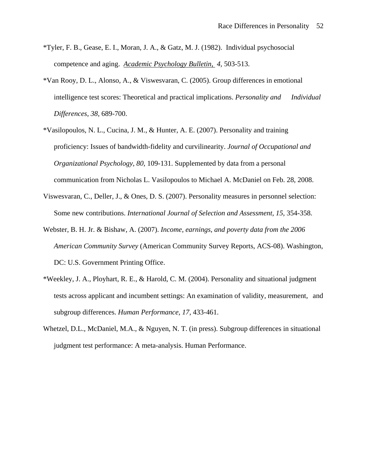- \*Tyler, F. B., Gease, E. I., Moran, J. A., & Gatz, M. J. (1982). Individual psychosocial competence and aging. *Academic Psychology Bulletin, 4,* 503-513.
- \*Van Rooy, D. L., Alonso, A., & Viswesvaran, C. (2005). Group differences in emotional intelligence test scores: Theoretical and practical implications. *Personality and Individual Differences, 38,* 689-700.
- \*Vasilopoulos, N. L., Cucina, J. M., & Hunter, A. E. (2007). Personality and training proficiency: Issues of bandwidth-fidelity and curvilinearity. *Journal of Occupational and Organizational Psychology, 80,* 109-131. Supplemented by data from a personal communication from Nicholas L. Vasilopoulos to Michael A. McDaniel on Feb. 28, 2008.
- Viswesvaran, C., Deller, J., & Ones, D. S. (2007). Personality measures in personnel selection: Some new contributions. *International Journal of Selection and Assessment, 15,* 354-358.
- Webster, B. H. Jr. & Bishaw, A. (2007). *Income, earnings, and poverty data from the 2006 American Community Survey* (American Community Survey Reports, ACS-08). Washington, DC: U.S. Government Printing Office.
- \*Weekley, J. A., Ployhart, R. E., & Harold, C. M. (2004). Personality and situational judgment tests across applicant and incumbent settings: An examination of validity, measurement, and subgroup differences. *Human Performance, 17,* 433-461.
- Whetzel, D.L., McDaniel, M.A., & Nguyen, N. T. (in press). Subgroup differences in situational judgment test performance: A meta-analysis. Human Performance.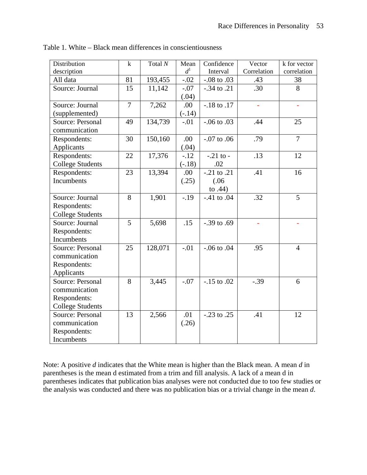| Distribution            | $\mathbf k$    | Total N | Mean     | Confidence        | Vector      | k for vector   |
|-------------------------|----------------|---------|----------|-------------------|-------------|----------------|
| description             |                |         | $d^1$    | Interval          | Correlation | correlation    |
| All data                | 81             | 193,455 | $-.02$   | $-.08$ to $.03$   | .43         | 38             |
| Source: Journal         | 15             | 11,142  | $-.07$   | $-.34$ to .21     | .30         | 8              |
|                         |                |         | (.04)    |                   |             |                |
| Source: Journal         | $\overline{7}$ | 7,262   | .00      | $-.18$ to $.17$   |             |                |
| (supplemented)          |                |         | $(-.14)$ |                   |             |                |
| Source: Personal        | 49             | 134,739 | $-.01$   | $-0.06$ to $0.03$ | .44         | 25             |
| communication           |                |         |          |                   |             |                |
| Respondents:            | 30             | 150,160 | .00      | $-.07$ to $.06$   | .79         | $\overline{7}$ |
| Applicants              |                |         | (.04)    |                   |             |                |
| Respondents:            |                | 17,376  |          | $-.21$ to $-$     | .13         | 12             |
|                         | 22             |         | $-12$    |                   |             |                |
| <b>College Students</b> |                |         | $(-.18)$ | .02               |             |                |
| Respondents:            | 23             | 13,394  | .00      | $-.21$ to $.21$   | .41         | 16             |
| Incumbents              |                |         | (.25)    | (.06)             |             |                |
|                         |                |         |          | to $.44)$         |             |                |
| Source: Journal         | 8              | 1,901   | $-.19$   | $-.41$ to $.04$   | .32         | 5              |
| Respondents:            |                |         |          |                   |             |                |
| <b>College Students</b> |                |         |          |                   |             |                |
| Source: Journal         | 5              | 5,698   | .15      | $-0.39$ to $0.69$ |             |                |
| Respondents:            |                |         |          |                   |             |                |
| Incumbents              |                |         |          |                   |             |                |
| <b>Source: Personal</b> | 25             | 128,071 | $-.01$   | $-.06$ to $.04$   | .95         | $\overline{4}$ |
| communication           |                |         |          |                   |             |                |
| Respondents:            |                |         |          |                   |             |                |
| Applicants              |                |         |          |                   |             |                |
| <b>Source: Personal</b> | 8              | 3,445   | $-.07$   | $-.15$ to $.02$   | $-.39$      | 6              |
| communication           |                |         |          |                   |             |                |
| Respondents:            |                |         |          |                   |             |                |
| <b>College Students</b> |                |         |          |                   |             |                |
| Source: Personal        | 13             | 2,566   | .01      | $-.23$ to $.25$   | .41         | 12             |
| communication           |                |         | (.26)    |                   |             |                |
| Respondents:            |                |         |          |                   |             |                |
| Incumbents              |                |         |          |                   |             |                |
|                         |                |         |          |                   |             |                |

Table 1. White – Black mean differences in conscientiousness

Note: A positive *d* indicates that the White mean is higher than the Black mean. A mean *d* in parentheses is the mean d estimated from a trim and fill analysis. A lack of a mean d in parentheses indicates that publication bias analyses were not conducted due to too few studies or the analysis was conducted and there was no publication bias or a trivial change in the mean *d*.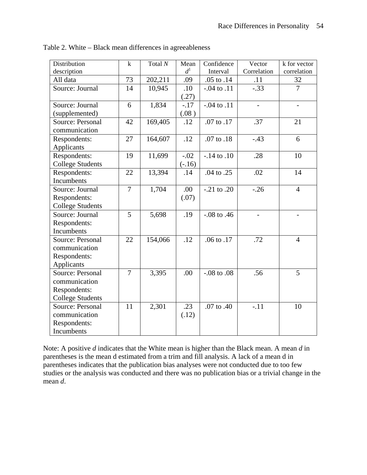| Distribution            | $\mathbf k$    | Total $N$ | Mean     | Confidence       | Vector                   | k for vector             |
|-------------------------|----------------|-----------|----------|------------------|--------------------------|--------------------------|
| description             |                |           | $d^1$    | Interval         | Correlation              | correlation              |
| All data                | 73             | 202,211   | .09      | .05 to .14       | .11                      | 32                       |
| Source: Journal         | 14             | 10,945    | .10      | $-0.04$ to $.11$ | $-.33$                   | $\overline{7}$           |
|                         |                |           | (.27)    |                  |                          |                          |
| Source: Journal         | 6              | 1,834     | $-.17$   | $-0.04$ to $.11$ | $\overline{\phantom{a}}$ | $\overline{\phantom{0}}$ |
| (supplemented)          |                |           | (.08)    |                  |                          |                          |
| Source: Personal        | 42             | 169,405   | .12      | .07 to .17       | .37                      | 21                       |
| communication           |                |           |          |                  |                          |                          |
| Respondents:            | 27             | 164,607   | .12      | .07 to .18       | $-.43$                   | 6                        |
| Applicants              |                |           |          |                  |                          |                          |
| Respondents:            | 19             | 11,699    | $-.02$   | $-.14$ to $.10$  | .28                      | 10                       |
| <b>College Students</b> |                |           | $(-.16)$ |                  |                          |                          |
| Respondents:            | 22             | 13,394    | .14      | .04 to .25       | .02                      | 14                       |
| Incumbents              |                |           |          |                  |                          |                          |
| Source: Journal         | $\overline{7}$ | 1,704     | .00      | $-.21$ to $.20$  | $-.26$                   | $\overline{4}$           |
| Respondents:            |                |           | (.07)    |                  |                          |                          |
| <b>College Students</b> |                |           |          |                  |                          |                          |
| Source: Journal         | 5              | 5,698     | .19      | $-.08$ to $.46$  |                          |                          |
| Respondents:            |                |           |          |                  |                          |                          |
| Incumbents              |                |           |          |                  |                          |                          |
| Source: Personal        | 22             | 154,066   | .12      | .06 to .17       | .72                      | $\overline{4}$           |
| communication           |                |           |          |                  |                          |                          |
| Respondents:            |                |           |          |                  |                          |                          |
| Applicants              |                |           |          |                  |                          |                          |
| Source: Personal        | $\tau$         | 3,395     | .00      | $-.08$ to $.08$  | .56                      | 5                        |
| communication           |                |           |          |                  |                          |                          |
| Respondents:            |                |           |          |                  |                          |                          |
| <b>College Students</b> |                |           |          |                  |                          |                          |
| <b>Source: Personal</b> | 11             | 2,301     | .23      | .07 to .40       | $-.11$                   | 10                       |
| communication           |                |           | (.12)    |                  |                          |                          |
| Respondents:            |                |           |          |                  |                          |                          |
| Incumbents              |                |           |          |                  |                          |                          |

Table 2. White – Black mean differences in agreeableness

Note: A positive *d* indicates that the White mean is higher than the Black mean. A mean *d* in parentheses is the mean d estimated from a trim and fill analysis. A lack of a mean d in parentheses indicates that the publication bias analyses were not conducted due to too few studies or the analysis was conducted and there was no publication bias or a trivial change in the mean *d*.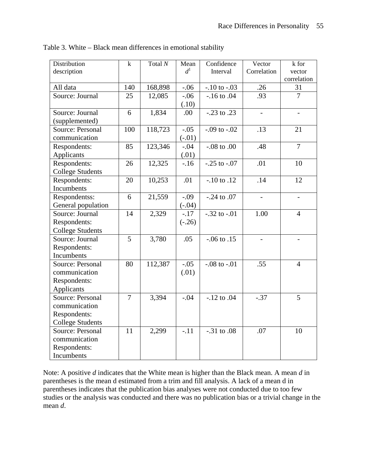| Distribution            | $\mathbf k$    | Total $N$ | Mean     | Confidence       | Vector                   | k for                    |
|-------------------------|----------------|-----------|----------|------------------|--------------------------|--------------------------|
| description             |                |           | $d^1$    | Interval         | Correlation              | vector                   |
|                         |                |           |          |                  |                          | correlation              |
| All data                | 140            | 168,898   | $-.06$   | $-.10$ to $-.03$ | .26                      | 31                       |
| Source: Journal         | 25             | 12,085    | $-.06$   | $-.16$ to $.04$  | .93                      | $\overline{7}$           |
|                         |                |           | (.10)    |                  |                          |                          |
| Source: Journal         | 6              | 1,834     | .00      | $-.23$ to $.23$  | $\blacksquare$           | $\blacksquare$           |
| (supplemented)          |                |           |          |                  |                          |                          |
| <b>Source: Personal</b> | 100            | 118,723   | $-.05$   | $-.09$ to $-.02$ | .13                      | 21                       |
| communication           |                |           | $(-.01)$ |                  |                          |                          |
| Respondents:            | 85             | 123,346   | $-.04$   | $-.08$ to $.00$  | .48                      | $\overline{7}$           |
| Applicants              |                |           | (.01)    |                  |                          |                          |
| Respondents:            | 26             | 12,325    | $-16$    | $-.25$ to $-.07$ | .01                      | 10                       |
| <b>College Students</b> |                |           |          |                  |                          |                          |
| Respondents:            | 20             | 10,253    | .01      | $-.10$ to $.12$  | .14                      | 12                       |
| Incumbents              |                |           |          |                  |                          |                          |
| Respondentss:           | 6              | 21,559    | $-.09$   | $-.24$ to $.07$  | $\overline{\phantom{m}}$ | $\overline{\phantom{a}}$ |
| General population      |                |           | $(-.04)$ |                  |                          |                          |
| Source: Journal         | 14             | 2,329     | $-.17$   | $-.32$ to $-.01$ | 1.00                     | $\overline{4}$           |
| Respondents:            |                |           | $(-.26)$ |                  |                          |                          |
| <b>College Students</b> |                |           |          |                  |                          |                          |
| Source: Journal         | 5              | 3,780     | .05      | $-0.06$ to $.15$ | $\overline{a}$           | $\overline{a}$           |
| Respondents:            |                |           |          |                  |                          |                          |
| Incumbents              |                |           |          |                  |                          |                          |
| Source: Personal        | 80             | 112,387   | $-.05$   | $-.08$ to $-.01$ | .55                      | $\overline{4}$           |
| communication           |                |           | (.01)    |                  |                          |                          |
| Respondents:            |                |           |          |                  |                          |                          |
| Applicants              |                |           |          |                  |                          |                          |
| Source: Personal        | $\overline{7}$ | 3,394     | $-.04$   | $-.12$ to $.04$  | $-.37$                   | 5                        |
| communication           |                |           |          |                  |                          |                          |
| Respondents:            |                |           |          |                  |                          |                          |
| <b>College Students</b> |                |           |          |                  |                          |                          |
| Source: Personal        | 11             | 2,299     | $-.11$   | $-.31$ to $.08$  | .07                      | 10                       |
| communication           |                |           |          |                  |                          |                          |
| Respondents:            |                |           |          |                  |                          |                          |
| Incumbents              |                |           |          |                  |                          |                          |

Table 3. White – Black mean differences in emotional stability

Note: A positive *d* indicates that the White mean is higher than the Black mean. A mean *d* in parentheses is the mean d estimated from a trim and fill analysis. A lack of a mean d in parentheses indicates that the publication bias analyses were not conducted due to too few studies or the analysis was conducted and there was no publication bias or a trivial change in the mean *d*.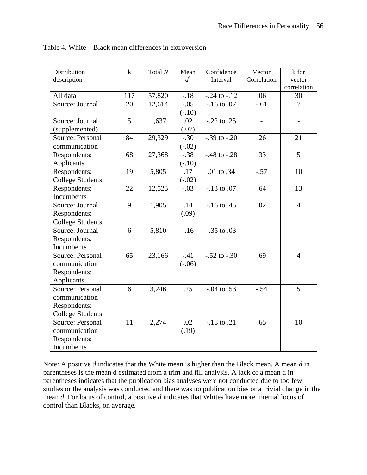| Distribution            | $\mathbf k$ | Total $N$ | Mean     | Confidence       | Vector                   | k for                    |
|-------------------------|-------------|-----------|----------|------------------|--------------------------|--------------------------|
| description             |             |           | $d^1$    | Interval         | Correlation              | vector<br>correlation    |
| All data                | 117         | 57,820    | $-18$    | $-.24$ to $-.12$ | .06                      | 30                       |
| Source: Journal         | 20          | 12,614    | $-.05$   | $-.16$ to $.07$  | $-.61$                   | $\overline{7}$           |
|                         |             |           | $(-.10)$ |                  |                          |                          |
| Source: Journal         | 5           | 1,637     | .02      | $-.22$ to $.25$  | $\qquad \qquad -$        | $\overline{\phantom{a}}$ |
| (supplemented)          |             |           | (.07)    |                  |                          |                          |
| Source: Personal        | 84          | 29,329    | $-.30$   | $-.39$ to $-.20$ | .26                      | 21                       |
| communication           |             |           | $(-.02)$ |                  |                          |                          |
| Respondents:            | 68          | 27,368    | $-.38$   | $-.48$ to $-.28$ | .33                      | 5                        |
| Applicants              |             |           | $(-.10)$ |                  |                          |                          |
| Respondents:            | 19          | 5,805     | .17      | .01 to .34       | $-.57$                   | 10                       |
| <b>College Students</b> |             |           | $(-.02)$ |                  |                          |                          |
| Respondents:            | 22          | 12,523    | $-.03$   | $-.13$ to $.07$  | .64                      | 13                       |
| Incumbents              |             |           |          |                  |                          |                          |
| Source: Journal         | 9           | 1,905     | .14      | $-16$ to $.45$   | .02                      | $\overline{4}$           |
| Respondents:            |             |           | (.09)    |                  |                          |                          |
| <b>College Students</b> |             |           |          |                  |                          |                          |
| Source: Journal         | 6           | 5,810     | $-16$    | $-.35$ to $.03$  | $\overline{\phantom{0}}$ |                          |
| Respondents:            |             |           |          |                  |                          |                          |
| Incumbents              |             |           |          |                  |                          |                          |
| Source: Personal        | 65          | 23,166    | $-.41$   | $-.52$ to $-.30$ | .69                      | $\overline{4}$           |
| communication           |             |           | $(-.06)$ |                  |                          |                          |
| Respondents:            |             |           |          |                  |                          |                          |
| Applicants              |             |           |          |                  |                          |                          |
| <b>Source: Personal</b> | 6           | 3,246     | .25      | $-.04$ to $.53$  | $-.54$                   | 5                        |
| communication           |             |           |          |                  |                          |                          |
| Respondents:            |             |           |          |                  |                          |                          |
| <b>College Students</b> |             |           |          |                  |                          |                          |
| Source: Personal        | 11          | 2,274     | .02      | $-.18$ to $.21$  | .65                      | 10                       |
| communication           |             |           | (.19)    |                  |                          |                          |
| Respondents:            |             |           |          |                  |                          |                          |
| Incumbents              |             |           |          |                  |                          |                          |

Table 4. White – Black mean differences in extroversion

Note: A positive *d* indicates that the White mean is higher than the Black mean. A mean *d* in parentheses is the mean d estimated from a trim and fill analysis. A lack of a mean d in parentheses indicates that the publication bias analyses were not conducted due to too few studies or the analysis was conducted and there was no publication bias or a trivial change in the mean *d*. For locus of control, a positive *d* indicates that Whites have more internal locus of control than Blacks, on average.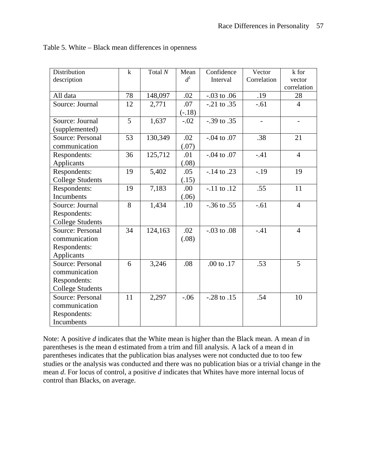| Distribution            | $\mathbf k$ | Total $N$ | Mean     | Confidence        | Vector      | k for          |
|-------------------------|-------------|-----------|----------|-------------------|-------------|----------------|
| description             |             |           | $d^1$    | Interval          | Correlation | vector         |
|                         |             |           |          |                   |             | correlation    |
| All data                | 78          | 148,097   | .02      | $-0.03$ to $0.06$ | .19         | 28             |
| Source: Journal         | 12          | 2,771     | .07      | $-.21$ to $.35$   | $-.61$      | $\overline{4}$ |
|                         |             |           | $(-.18)$ |                   |             |                |
| Source: Journal         | 5           | 1,637     | $-.02$   | $-0.39$ to $0.35$ |             |                |
| (supplemented)          |             |           |          |                   |             |                |
| Source: Personal        | 53          | 130,349   | .02      | $-0.04$ to $.07$  | .38         | 21             |
| communication           |             |           | (.07)    |                   |             |                |
| Respondents:            | 36          | 125,712   | .01      | $-.04$ to $.07$   | $-.41$      | $\overline{4}$ |
| Applicants              |             |           | (.08)    |                   |             |                |
| Respondents:            | 19          | 5,402     | .05      | $-.14$ to $.23$   | $-.19$      | 19             |
| <b>College Students</b> |             |           | (.15)    |                   |             |                |
| Respondents:            | 19          | 7,183     | .00      | $-.11$ to $.12$   | .55         | 11             |
| Incumbents              |             |           | (.06)    |                   |             |                |
| Source: Journal         | 8           | 1,434     | .10      | $-0.36$ to $0.55$ | $-.61$      | $\overline{4}$ |
| Respondents:            |             |           |          |                   |             |                |
| <b>College Students</b> |             |           |          |                   |             |                |
| Source: Personal        | 34          | 124,163   | .02      | $-.03$ to $.08$   | $-.41$      | $\overline{4}$ |
| communication           |             |           | (.08)    |                   |             |                |
| Respondents:            |             |           |          |                   |             |                |
| Applicants              |             |           |          |                   |             |                |
| Source: Personal        | 6           | 3,246     | .08      | .00 to .17        | .53         | 5              |
| communication           |             |           |          |                   |             |                |
| Respondents:            |             |           |          |                   |             |                |
| <b>College Students</b> |             |           |          |                   |             |                |
| <b>Source: Personal</b> | 11          | 2,297     | $-.06$   | $-.28$ to $.15$   | .54         | 10             |
| communication           |             |           |          |                   |             |                |
| Respondents:            |             |           |          |                   |             |                |
| Incumbents              |             |           |          |                   |             |                |

Table 5. White – Black mean differences in openness

Note: A positive *d* indicates that the White mean is higher than the Black mean. A mean *d* in parentheses is the mean d estimated from a trim and fill analysis. A lack of a mean d in parentheses indicates that the publication bias analyses were not conducted due to too few studies or the analysis was conducted and there was no publication bias or a trivial change in the mean *d*. For locus of control, a positive *d* indicates that Whites have more internal locus of control than Blacks, on average.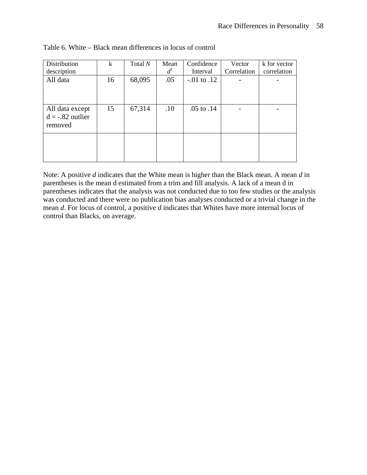| Distribution                                     | k  | Total N | Mean  | Confidence       | Vector      | k for vector |
|--------------------------------------------------|----|---------|-------|------------------|-------------|--------------|
| description                                      |    |         | $d^1$ | Interval         | Correlation | correlation  |
| All data                                         | 16 | 68,095  | .05   | $-0.01$ to $.12$ |             |              |
| All data except<br>$d = -.82$ outlier<br>removed | 15 | 67,314  | .10   | $.05$ to $.14$   |             |              |
|                                                  |    |         |       |                  |             |              |

Table 6. White – Black mean differences in locus of control

Note: A positive *d* indicates that the White mean is higher than the Black mean. A mean *d* in parentheses is the mean d estimated from a trim and fill analysis. A lack of a mean d in parentheses indicates that the analysis was not conducted due to too few studies or the analysis was conducted and there were no publication bias analyses conducted or a trivial change in the mean *d*. For locus of control, a positive *d* indicates that Whites have more internal locus of control than Blacks, on average.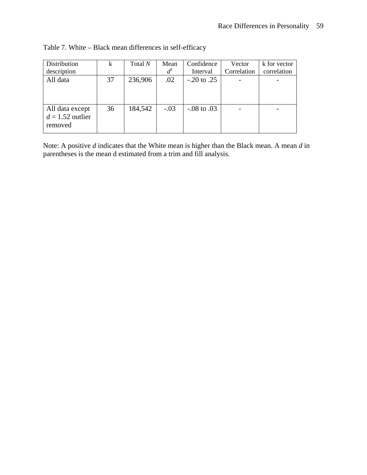| Distribution<br>description                      | k  | Total N | Mean<br>$d^{\mathrm{I}}$ | Confidence<br>Interval | Vector<br>Correlation | k for vector<br>correlation |
|--------------------------------------------------|----|---------|--------------------------|------------------------|-----------------------|-----------------------------|
| All data                                         | 37 | 236,906 | .02                      | $-0.20$ to $0.25$      |                       |                             |
| All data except<br>$d = 1.52$ outlier<br>removed | 36 | 184,542 | $-.03$                   | $-0.08$ to $.03$       |                       |                             |

Table 7. White – Black mean differences in self-efficacy

Note: A positive *d* indicates that the White mean is higher than the Black mean. A mean *d* in parentheses is the mean d estimated from a trim and fill analysis.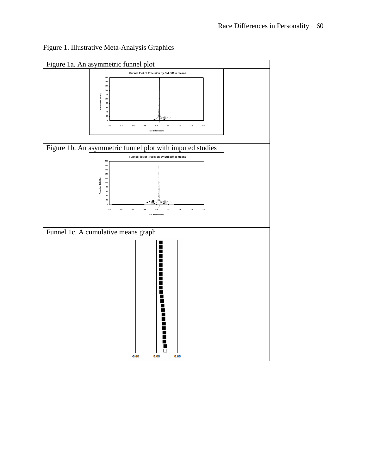

# Figure 1. Illustrative Meta-Analysis Graphics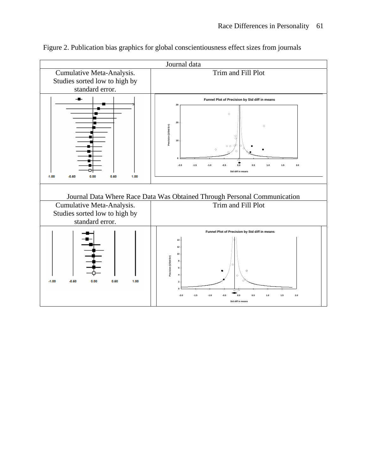

Figure 2. Publication bias graphics for global conscientiousness effect sizes from journals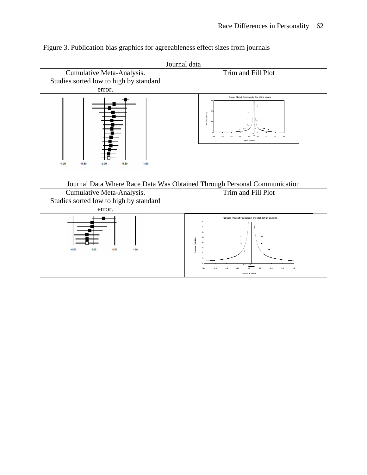

# Figure 3. Publication bias graphics for agreeableness effect sizes from journals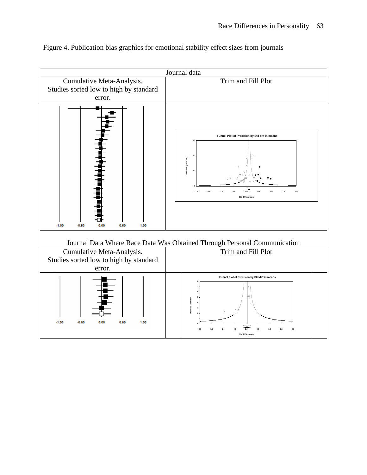

Figure 4. Publication bias graphics for emotional stability effect sizes from journals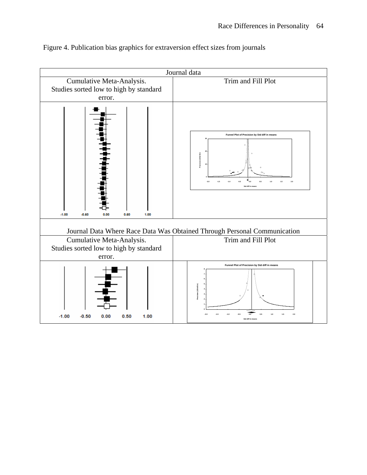

Figure 4. Publication bias graphics for extraversion effect sizes from journals